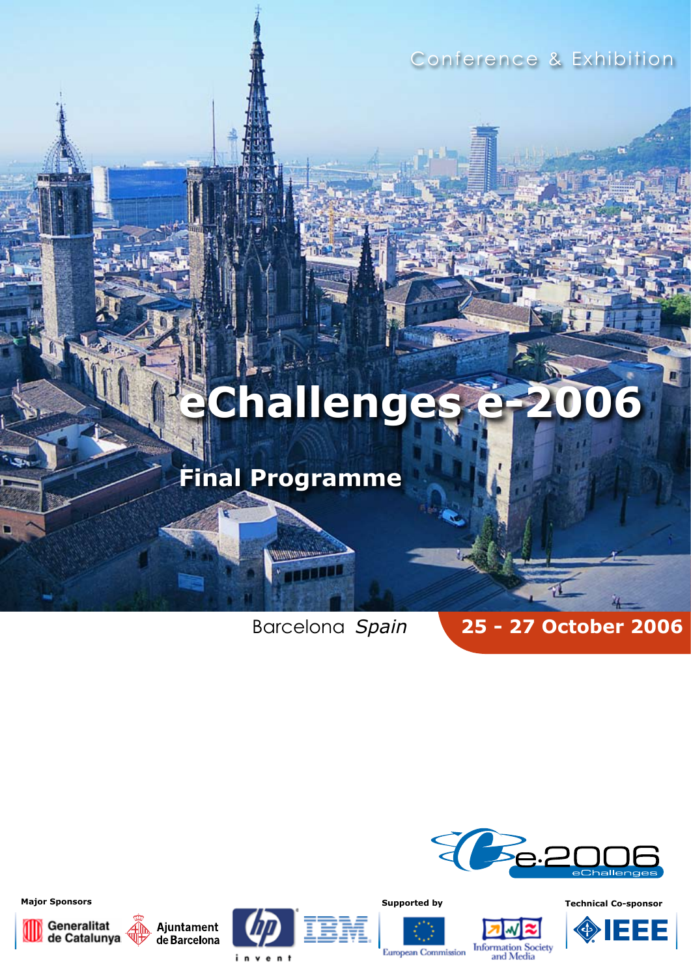Conference & Exhibition

# **eChallenges e-2006**

## **Final Programme**

TILL

Barcelona *Spain* **25 - 27 October 2006**







Information Society<br>and Media

**European Commission** 

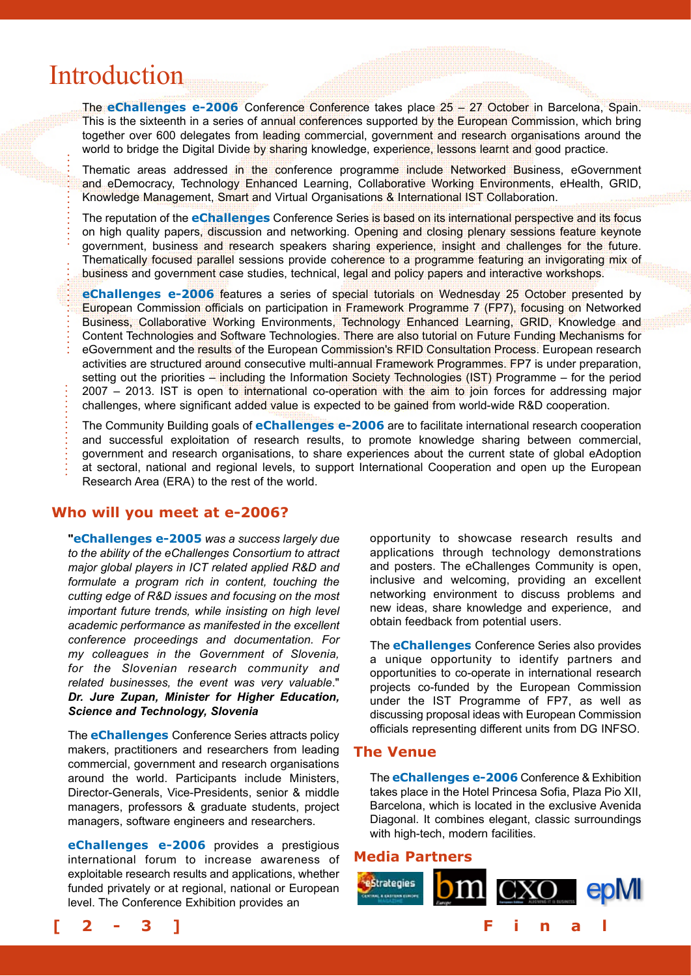## Introduction

The **eChallenges e-2006** Conference Conference takes place 25 – 27 October in Barcelona, Spain. This is the sixteenth in a series of annual conferences supported by the European Commission, which bring together over 600 delegates from leading commercial, government and research organisations around the world to bridge the Digital Divide by sharing knowledge, experience, lessons learnt and good practice.

Thematic areas addressed in the conference programme include Networked Business, eGovernment and eDemocracy, Technology Enhanced Learning, Collaborative Working Environments, eHealth, GRID, Knowledge Management, Smart and Virtual Organisations & International IST Collaboration.

The reputation of the **eChallenges** Conference Series is based on its international perspective and its focus on high quality papers, discussion and networking. Opening and closing plenary sessions feature keynote government, business and research speakers sharing experience, insight and challenges for the future. Thematically focused parallel sessions provide coherence to a programme featuring an invigorating mix of business and government case studies, technical, legal and policy papers and interactive workshops.

**eChallenges e-2006** features a series of special tutorials on Wednesday 25 October presented by European Commission officials on participation in Framework Programme 7 (FP7), focusing on Networked Business, Collaborative Working Environments, Technology Enhanced Learning, GRID, Knowledge and Content Technologies and Software Technologies. There are also tutorial on Future Funding Mechanisms for eGovernment and the results of the European Commission's RFID Consultation Process. European research activities are structured around consecutive multi-annual Framework Programmes. FP7 is under preparation, setting out the priorities – including the Information Society Technologies (IST) Programme – for the period 2007 – 2013. IST is open to international co-operation with the aim to join forces for addressing major challenges, where significant added value is expected to be gained from world-wide R&D cooperation.

The Community Building goals of **eChallenges e-2006** are to facilitate international research cooperation and successful exploitation of research results, to promote knowledge sharing between commercial, government and research organisations, to share experiences about the current state of global eAdoption at sectoral, national and regional levels, to support International Cooperation and open up the European Research Area (ERA) to the rest of the world.

#### **Who will you meet at e-2006?**

**"eChallenges e-2005** *was a success largely due to the ability of the eChallenges Consortium to attract major global players in ICT related applied R&D and formulate a program rich in content, touching the cutting edge of R&D issues and focusing on the most important future trends, while insisting on high level academic performance as manifested in the excellent conference proceedings and documentation. For my colleagues in the Government of Slovenia, for the Slovenian research community and related businesses, the event was very valuable*." *Dr. Jure Zupan, Minister for Higher Education, Science and Technology, Slovenia*

The **eChallenges** Conference Series attracts policy makers, practitioners and researchers from leading commercial, government and research organisations around the world. Participants include Ministers, Director-Generals, Vice-Presidents, senior & middle managers, professors & graduate students, project managers, software engineers and researchers.

**eChallenges e-2006** provides a prestigious international forum to increase awareness of exploitable research results and applications, whether funded privately or at regional, national or European level. The Conference Exhibition provides an

opportunity to showcase research results and applications through technology demonstrations and posters. The eChallenges Community is open, inclusive and welcoming, providing an excellent networking environment to discuss problems and new ideas, share knowledge and experience, and obtain feedback from potential users.

The **eChallenges** Conference Series also provides a unique opportunity to identify partners and opportunities to co-operate in international research projects co-funded by the European Commission under the IST Programme of FP7, as well as discussing proposal ideas with European Commission officials representing different units from DG INFSO.

#### **The Venue**

The **eChallenges e-2006** Conference & Exhibition takes place in the Hotel Princesa Sofia, Plaza Pio XII, Barcelona, which is located in the exclusive Avenida Diagonal. It combines elegant, classic surroundings with high-tech, modern facilities.

#### **Media Partners**



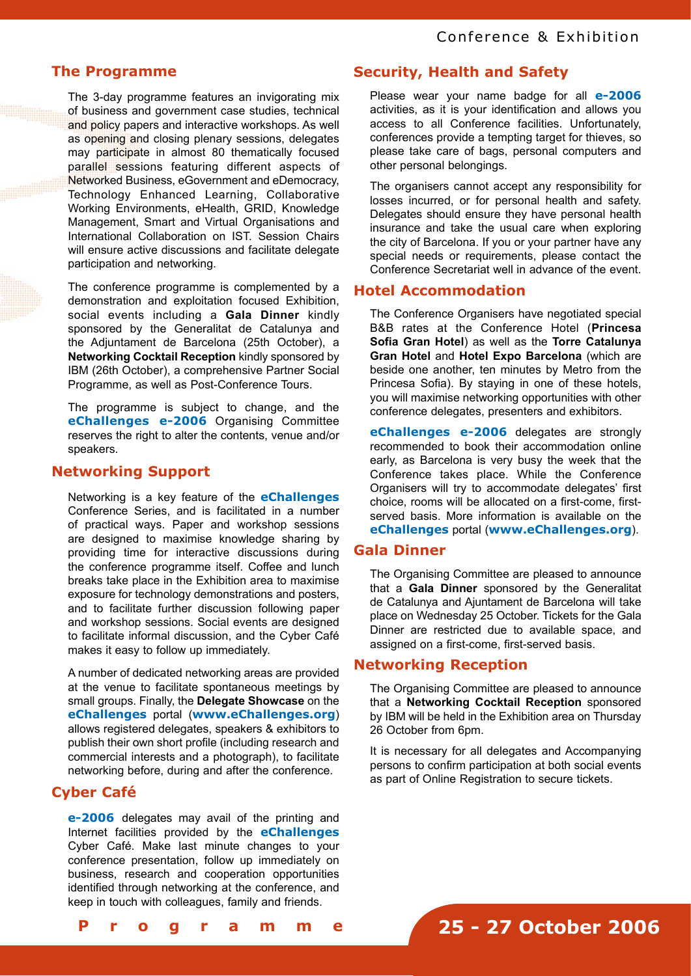#### **The Programme**

The 3-day programme features an invigorating mix of business and government case studies, technical and policy papers and interactive workshops. As well as opening and closing plenary sessions, delegates may participate in almost 80 thematically focused parallel sessions featuring different aspects of Networked Business, eGovernment and eDemocracy, Technology Enhanced Learning, Collaborative Working Environments, eHealth, GRID, Knowledge Management, Smart and Virtual Organisations and International Collaboration on IST. Session Chairs will ensure active discussions and facilitate delegate participation and networking.

The conference programme is complemented by a demonstration and exploitation focused Exhibition, social events including a **Gala Dinner** kindly sponsored by the Generalitat de Catalunya and the Adjuntament de Barcelona (25th October), a **Networking Cocktail Reception** kindly sponsored by IBM (26th October), a comprehensive Partner Social Programme, as well as Post-Conference Tours.

The programme is subject to change, and the **eChallenges e-2006** Organising Committee reserves the right to alter the contents, venue and/or speakers.

#### **Networking Support**

Networking is a key feature of the **eChallenges** Conference Series, and is facilitated in a number of practical ways. Paper and workshop sessions are designed to maximise knowledge sharing by providing time for interactive discussions during the conference programme itself. Coffee and lunch breaks take place in the Exhibition area to maximise exposure for technology demonstrations and posters, and to facilitate further discussion following paper and workshop sessions. Social events are designed to facilitate informal discussion, and the Cyber Café makes it easy to follow up immediately.

A number of dedicated networking areas are provided at the venue to facilitate spontaneous meetings by small groups. Finally, the **Delegate Showcase** on the **eChallenges** portal (**www.eChallenges.org**) allows registered delegates, speakers & exhibitors to publish their own short profile (including research and commercial interests and a photograph), to facilitate networking before, during and after the conference.

### **Cyber Café**

**e-2006** delegates may avail of the printing and Internet facilities provided by the **eChallenges** Cyber Café. Make last minute changes to your conference presentation, follow up immediately on business, research and cooperation opportunities identified through networking at the conference, and keep in touch with colleagues, family and friends.

### **Security, Health and Safety**

Please wear your name badge for all **e-2006**  activities, as it is your identification and allows you access to all Conference facilities. Unfortunately, conferences provide a tempting target for thieves, so please take care of bags, personal computers and other personal belongings.

The organisers cannot accept any responsibility for losses incurred, or for personal health and safety. Delegates should ensure they have personal health insurance and take the usual care when exploring the city of Barcelona. If you or your partner have any special needs or requirements, please contact the Conference Secretariat well in advance of the event.

#### **Hotel Accommodation**

The Conference Organisers have negotiated special B&B rates at the Conference Hotel (**Princesa Sofia Gran Hotel**) as well as the **Torre Catalunya Gran Hotel** and **Hotel Expo Barcelona** (which are beside one another, ten minutes by Metro from the Princesa Sofia). By staying in one of these hotels, you will maximise networking opportunities with other conference delegates, presenters and exhibitors.

**eChallenges e-2006** delegates are strongly recommended to book their accommodation online early, as Barcelona is very busy the week that the Conference takes place. While the Conference Organisers will try to accommodate delegates' first choice, rooms will be allocated on a first-come, firstserved basis. More information is available on the **eChallenges** portal (**www.eChallenges.org**).

#### **Gala Dinner**

The Organising Committee are pleased to announce that a **Gala Dinner** sponsored by the Generalitat de Catalunya and Ajuntament de Barcelona will take place on Wednesday 25 October. Tickets for the Gala Dinner are restricted due to available space, and assigned on a first-come, first-served basis.

#### **Networking Reception**

The Organising Committee are pleased to announce that a **Networking Cocktail Reception** sponsored by IBM will be held in the Exhibition area on Thursday 26 October from 6pm.

It is necessary for all delegates and Accompanying persons to confirm participation at both social events as part of Online Registration to secure tickets.

```
[ 2 - 3 ] F i n a l P r o g r a m m e
```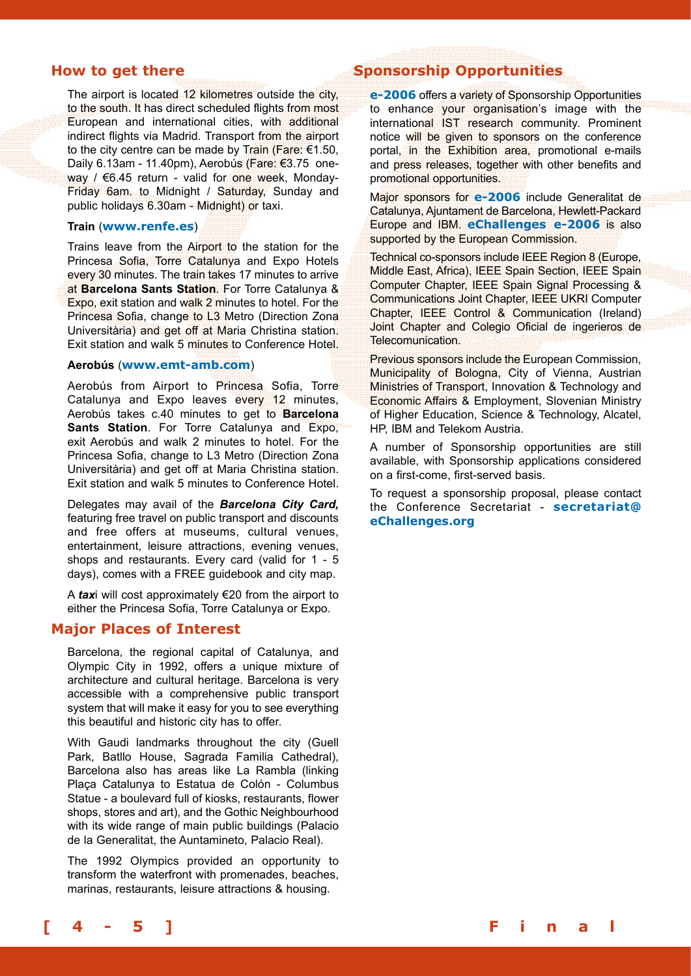#### **How to get there**

The airport is located 12 kilometres outside the city, to the south. It has direct scheduled flights from most European and international cities, with additional indirect flights via Madrid. Transport from the airport to the city centre can be made by Train (Fare: €1.50, Daily 6.13am - 11.40pm), Aerobús (Fare: €3.75 oneway / €6.45 return - valid for one week, Monday-Friday 6am. to Midnight / Saturday, Sunday and public holidays 6.30am - Midnight) or taxi.

#### **Train** (**www.renfe.es**)

Trains leave from the Airport to the station for the Princesa Sofia, Torre Catalunya and Expo Hotels every 30 minutes. The train takes 17 minutes to arrive at **Barcelona Sants Station**. For Torre Catalunya & Expo, exit station and walk 2 minutes to hotel. For the Princesa Sofia, change to L3 Metro (Direction Zona Universitària) and get off at Maria Christina station. Exit station and walk 5 minutes to Conference Hotel.

#### **Aerobús** (**www.emt-amb.com**)

Aerobús from Airport to Princesa Sofia, Torre Catalunya and Expo leaves every 12 minutes, Aerobús takes c.40 minutes to get to **Barcelona Sants Station**. For Torre Catalunya and Expo, exit Aerobús and walk 2 minutes to hotel. For the Princesa Sofia, change to L3 Metro (Direction Zona Universitària) and get off at Maria Christina station. Exit station and walk 5 minutes to Conference Hotel.

Delegates may avail of the *Barcelona City Card,* featuring free travel on public transport and discounts and free offers at museums, cultural venues, entertainment, leisure attractions, evening venues, shops and restaurants. Every card (valid for 1 - 5 days), comes with a FREE guidebook and city map.

A *tax*i will cost approximately €20 from the airport to either the Princesa Sofia, Torre Catalunya or Expo.

#### **Major Places of Interest**

Barcelona, the regional capital of Catalunya, and Olympic City in 1992, offers a unique mixture of architecture and cultural heritage. Barcelona is very accessible with a comprehensive public transport system that will make it easy for you to see everything this beautiful and historic city has to offer.

With Gaudi landmarks throughout the city (Guell Park, Batllo House, Sagrada Familia Cathedral), Barcelona also has areas like La Rambla (linking Plaça Catalunya to Estatua de Colón - Columbus Statue - a boulevard full of kiosks, restaurants, flower shops, stores and art), and the Gothic Neighbourhood with its wide range of main public buildings (Palacio de la Generalitat, the Auntamineto, Palacio Real).

The 1992 Olympics provided an opportunity to transform the waterfront with promenades, beaches, marinas, restaurants, leisure attractions & housing.

### **Sponsorship Opportunities**

**e-2006** offers a variety of Sponsorship Opportunities to enhance your organisation's image with the international IST research community. Prominent notice will be given to sponsors on the conference portal, in the Exhibition area, promotional e-mails and press releases, together with other benefits and promotional opportunities.

Major sponsors for **e-2006** include Generalitat de Catalunya, Ajuntament de Barcelona, Hewlett-Packard Europe and IBM. **eChallenges e-2006** is also supported by the European Commission.

Technical co-sponsors include IEEE Region 8 (Europe, Middle East, Africa), IEEE Spain Section, IEEE Spain Computer Chapter, IEEE Spain Signal Processing & Communications Joint Chapter, IEEE UKRI Computer Chapter, IEEE Control & Communication (Ireland) Joint Chapter and Colegio Oficial de ingerieros de Telecomunication.

Previous sponsors include the European Commission, Municipality of Bologna, City of Vienna, Austrian Ministries of Transport, Innovation & Technology and Economic Affairs & Employment, Slovenian Ministry of Higher Education, Science & Technology, Alcatel, HP, IBM and Telekom Austria.

A number of Sponsorship opportunities are still available, with Sponsorship applications considered on a first-come, first-served basis.

To request a sponsorship proposal, please contact the Conference Secretariat - **secretariat@ eChallenges.org**

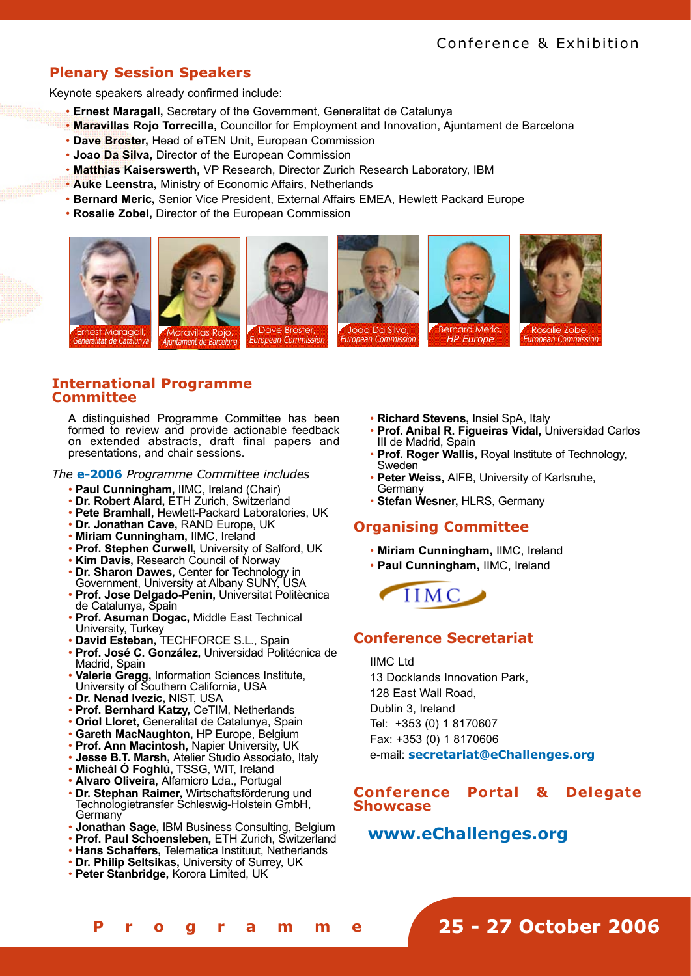## **Plenary Session Speakers**

Keynote speakers already confirmed include:

- **Ernest Maragall,** Secretary of the Government, Generalitat de Catalunya
- **Maravillas Rojo Torrecilla,** Councillor for Employment and Innovation, Ajuntament de Barcelona
- **Dave Broster,** Head of eTEN Unit, European Commission
- **Joao Da Silva,** Director of the European Commission
- **Matthias Kaiserswerth,** VP Research, Director Zurich Research Laboratory, IBM
- **Auke Leenstra,** Ministry of Economic Affairs, Netherlands
- **Bernard Meric,** Senior Vice President, External Affairs EMEA, Hewlett Packard Europe
- **Rosalie Zobel,** Director of the European Commission











**Rosalie Zobel,<br>European Commissior** 

### **International Programme Committee**

A distinguished Programme Committee has been formed to review and provide actionable feedback on extended abstracts, draft final papers and presentations, and chair sessions.

*The* **e-2006** *Programme Committee includes*

- **Paul Cunningham,** IIMC, Ireland (Chair)
- **Dr. Robert Alard,** ETH Zurich, Switzerland
- **Pete Bramhall,** Hewlett-Packard Laboratories, UK
- **Dr. Jonathan Cave,** RAND Europe, UK
- **Miriam Cunningham,** IIMC, Ireland
- **Prof. Stephen Curwell,** University of Salford, UK
- **Kim Davis,** Research Council of Norway • **Dr. Sharon Dawes,** Center for Technology in
- Government, University at Albany SUNY, USA • **Prof. Jose Delgado-Penin,** Universitat Politècnica
- de Catalunya, Spain
- **Prof. Asuman Dogac,** Middle East Technical University, Turkey
- **David Esteban,** TECHFORCE S.L., Spain
- **Prof. José C. González,** Universidad Politécnica de Madrid, Spain
- **Valerie Gregg,** Information Sciences Institute, University of Southern California, USA
- **Dr. Nenad Ivezic,** NIST, USA
- **Prof. Bernhard Katzy,** CeTIM, Netherlands
- **Oriol Lloret,** Generalitat de Catalunya, Spain
- **Gareth MacNaughton,** HP Europe, Belgium
- **Prof. Ann Macintosh,** Napier University, UK
- **Jesse B.T. Marsh,** Atelier Studio Associato, Italy
- **Mícheál Ó Foghlú,** TSSG, WIT, Ireland
- **Alvaro Oliveira,** Alfamicro Lda., Portugal
- **Dr. Stephan Raimer,** Wirtschaftsförderung und Technologietransfer Schleswig-Holstein GmbH, **Germany**
- **Jonathan Sage,** IBM Business Consulting, Belgium
- **Prof. Paul Schoensleben,** ETH Zurich, Switzerland
- **Hans Schaffers,** Telematica Instituut, Netherlands
- **Dr. Philip Seltsikas,** University of Surrey, UK
- **Peter Stanbridge,** Korora Limited, UK

**[ 4 - 5 ] F i n a l P r o g r a m m e**

- **Richard Stevens,** Insiel SpA, Italy
- **Prof. Anibal R. Figueiras Vidal,** Universidad Carlos III de Madrid, Spain
- **Prof. Roger Wallis,** Royal Institute of Technology, Sweden
- **Peter Weiss,** AIFB, University of Karlsruhe, **Germany**
- **Stefan Wesner,** HLRS, Germany

#### **Organising Committee**

- **Miriam Cunningham,** IIMC, Ireland
- **Paul Cunningham,** IIMC, Ireland



### **Conference Secretariat**

IIMC Ltd 13 Docklands Innovation Park, 128 East Wall Road, Dublin 3, Ireland Tel: +353 (0) 1 8170607 Fax: +353 (0) 1 8170606 e-mail: **secretariat@eChallenges.org**

#### **Conference Portal & Delegate Showcase**

## **www.eChallenges.org**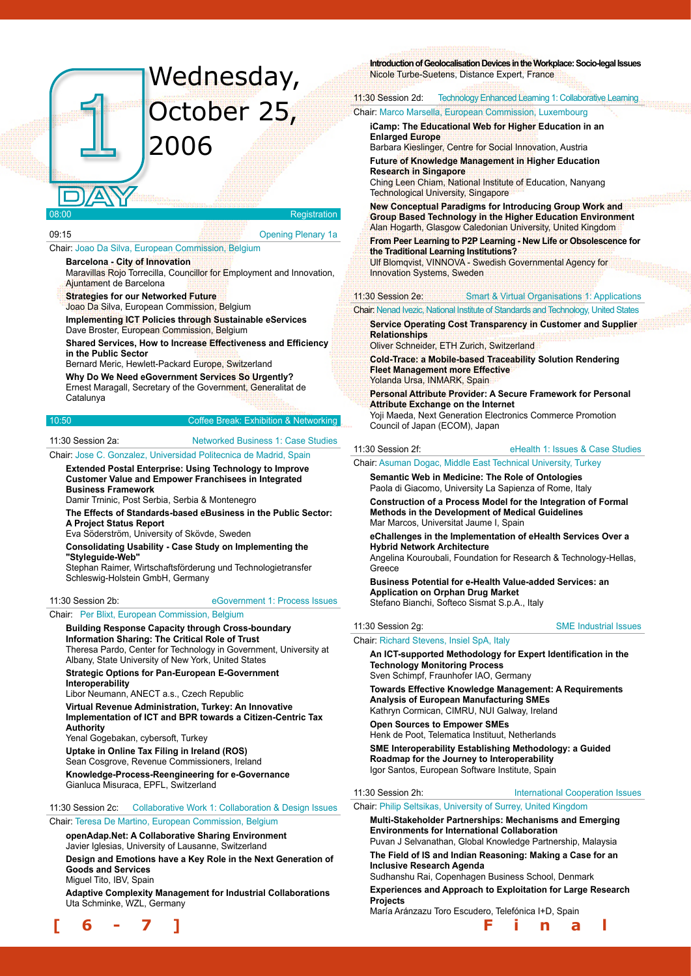## Wednesday, October 25, 2006

#### Registration

#### 09:15 Opening Plenary 1a

#### Chair: Joao Da Silva, European Commission, Belgium

**Barcelona - City of Innovation** Maravillas Rojo Torrecilla, Councillor for Employment and Innovation, Ajuntament de Barcelona

#### **Strategies for our Networked Future**

Joao Da Silva, European Commission, Belgium

**Implementing ICT Policies through Sustainable eServices** Dave Broster, European Commission, Belgium

**Shared Services, How to Increase Effectiveness and Efficiency in the Public Sector**

Bernard Meric, Hewlett-Packard Europe, Switzerland

**Why Do We Need eGovernment Services So Urgently?** Ernest Maragall, Secretary of the Government, Generalitat de Catalunya

#### 10:50 Coffee Break: Exhibition & Networking

#### 11:30 Session 2a: Networked Business 1: Case Studies

#### Chair: Jose C. Gonzalez, Universidad Politecnica de Madrid, Spain

**Extended Postal Enterprise: Using Technology to Improve Customer Value and Empower Franchisees in Integrated Business Framework**

Damir Trninic, Post Serbia, Serbia & Montenegro

**The Effects of Standards-based eBusiness in the Public Sector: A Project Status Report**

Eva Söderström, University of Skövde, Sweden

**Consolidating Usability - Case Study on Implementing the "Styleguide-Web"**

Stephan Raimer, Wirtschaftsförderung und Technologietransfer Schleswig-Holstein GmbH, Germany

#### 11:30 Session 2b: eGovernment 1: Process Issues

Chair: Per Blixt, European Commission, Belgium

#### **Building Response Capacity through Cross-boundary**

**Information Sharing: The Critical Role of Trust** Theresa Pardo, Center for Technology in Government, University at Albany, State University of New York, United States

**Strategic Options for Pan-European E-Government Interoperability**

Libor Neumann, ANECT a.s., Czech Republic

**Virtual Revenue Administration, Turkey: An Innovative Implementation of ICT and BPR towards a Citizen-Centric Tax Authority**

Yenal Gogebakan, cybersoft, Turkey

**Uptake in Online Tax Filing in Ireland (ROS)**

Sean Cosgrove, Revenue Commissioners, Ireland

**Knowledge-Process-Reengineering for e-Governance** Gianluca Misuraca, EPFL, Switzerland

#### 11:30 Session 2c: Collaborative Work 1: Collaboration & Design Issues

#### Chair: Teresa De Martino, European Commission, Belgium

**openAdap.Net: A Collaborative Sharing Environment** Javier Iglesias, University of Lausanne, Switzerland **Design and Emotions have a Key Role in the Next Generation of Goods and Services**

Miguel Tito, IBV, Spain

**Adaptive Complexity Management for Industrial Collaborations** Uta Schminke, WZL, Germany



#### **Introduction of Geolocalisation Devices in the Workplace: Socio-legal Issues**

Nicole Turbe-Suetens, Distance Expert, France

#### 11:30 Session 2d: Technology Enhanced Learning 1: Collaborative Learning Chair: Marco Marsella, European Commission, Luxembourg

**iCamp: The Educational Web for Higher Education in an Enlarged Europe**

Barbara Kieslinger, Centre for Social Innovation, Austria **Future of Knowledge Management in Higher Education Research in Singapore**

Ching Leen Chiam, National Institute of Education, Nanyang Technological University, Singapore

**New Conceptual Paradigms for Introducing Group Work and Group Based Technology in the Higher Education Environment** Alan Hogarth, Glasgow Caledonian University, United Kingdom

**From Peer Learning to P2P Learning - New Life or Obsolescence for the Traditional Learning Institutions?**

Ulf Blomqvist, VINNOVA - Swedish Governmental Agency for Innovation Systems, Sweden

#### 11:30 Session 2e: Smart & Virtual Organisations 1: Applications

Chair: Nenad Ivezic, National Institute of Standards and Technology, United States

**Service Operating Cost Transparency in Customer and Supplier Relationships**

Oliver Schneider, ETH Zurich, Switzerland

**Cold-Trace: a Mobile-based Traceability Solution Rendering Fleet Management more Effective** Yolanda Ursa, INMARK, Spain

**Personal Attribute Provider: A Secure Framework for Personal Attribute Exchange on the Internet** Yoji Maeda, Next Generation Electronics Commerce Promotion

Council of Japan (ECOM), Japan

11:30 Session 2f: eHealth 1: Issues & Case Studies

#### Chair: Asuman Dogac, Middle East Technical University, Turkey

**Semantic Web in Medicine: The Role of Ontologies** Paola di Giacomo, University La Sapienza of Rome, Italy

**Construction of a Process Model for the Integration of Formal Methods in the Development of Medical Guidelines** Mar Marcos, Universitat Jaume I, Spain

**eChallenges in the Implementation of eHealth Services Over a Hybrid Network Architecture**

Angelina Kouroubali, Foundation for Research & Technology-Hellas, **Greece** 

**Business Potential for e-Health Value-added Services: an Application on Orphan Drug Market** Stefano Bianchi, Softeco Sismat S.p.A., Italy

11:30 Session 2g: SME Industrial Issues

#### Chair: Richard Stevens, Insiel SpA, Italy

**An ICT-supported Methodology for Expert Identification in the Technology Monitoring Process** Sven Schimpf, Fraunhofer IAO, Germany

**Towards Effective Knowledge Management: A Requirements Analysis of European Manufacturing SMEs** Kathryn Cormican, CIMRU, NUI Galway, Ireland

**Open Sources to Empower SMEs** Henk de Poot, Telematica Instituut, Netherlands **SME Interoperability Establishing Methodology: a Guided Roadmap for the Journey to Interoperability**

Igor Santos, European Software Institute, Spain

Chair: Philip Seltsikas, University of Surrey, United Kingdom

#### **Multi-Stakeholder Partnerships: Mechanisms and Emerging Environments for International Collaboration**

Puvan J Selvanathan, Global Knowledge Partnership, Malaysia **The Field of IS and Indian Reasoning: Making a Case for an** 

**Inclusive Research Agenda** Sudhanshu Rai, Copenhagen Business School, Denmark

**Experiences and Approach to Exploitation for Large Research Projects**

María Aránzazu Toro Escudero, Telefónica I+D, Spain

11:30 Session 2h: International Cooperation Issues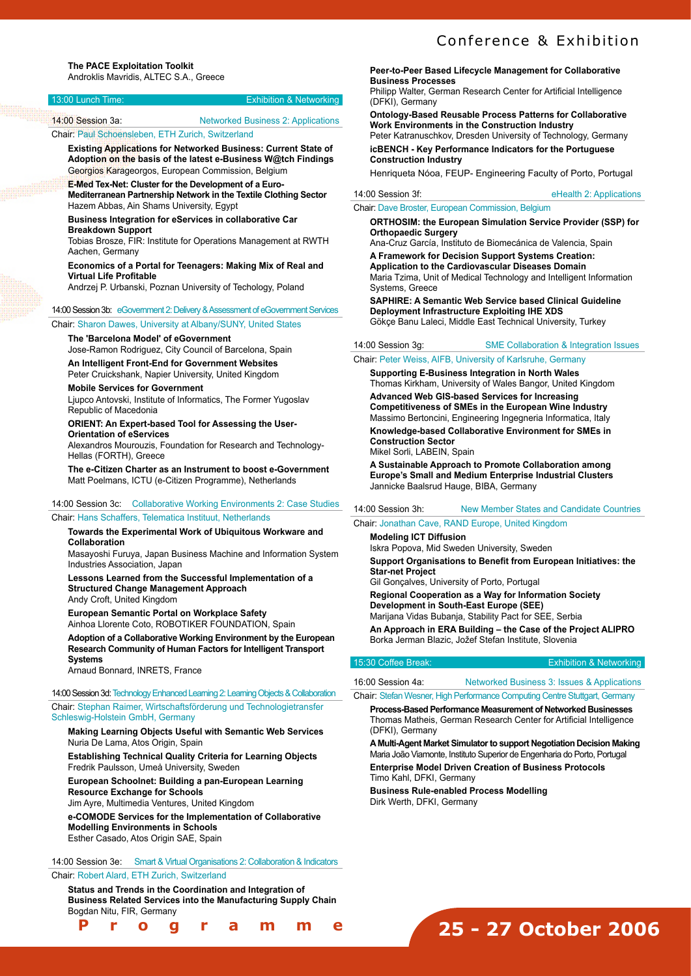| l 13:00 Lunch Time: | <b>Exhibition &amp; Networking</b>        |
|---------------------|-------------------------------------------|
| 14:00 Session 3a:   | <b>Networked Business 2: Applications</b> |
|                     |                                           |

Chair: Paul Schoensleben, ETH Zurich, Switzerland

#### **Existing Applications for Networked Business: Current State of Adoption on the basis of the latest e-Business W@tch Findings** Georgios Karageorgos, European Commission, Belgium

**E-Med Tex-Net: Cluster for the Development of a Euro-Mediterranean Partnership Network in the Textile Clothing Sector**  Hazem Abbas, Ain Shams University, Egypt

#### **Business Integration for eServices in collaborative Car Breakdown Support**

Tobias Brosze, FIR: Institute for Operations Management at RWTH Aachen, Germany

#### **Economics of a Portal for Teenagers: Making Mix of Real and Virtual Life Profitable**

Andrzej P. Urbanski, Poznan University of Techology, Poland

#### 14:00 Session 3b: eGovernment 2: Delivery & Assessment of eGovernment Services

Chair: Sharon Dawes, University at Albany/SUNY, United States

#### **The 'Barcelona Model' of eGovernment**

Jose-Ramon Rodriguez, City Council of Barcelona, Spain

**An Intelligent Front-End for Government Websites** Peter Cruickshank, Napier University, United Kingdom

#### **Mobile Services for Government**

Ljupco Antovski, Institute of Informatics, The Former Yugoslav Republic of Macedonia

#### **ORIENT: An Expert-based Tool for Assessing the User-Orientation of eServices**

Alexandros Mourouzis, Foundation for Research and Technology-Hellas (FORTH), Greece

**The e-Citizen Charter as an Instrument to boost e-Government** Matt Poelmans, ICTU (e-Citizen Programme), Netherlands

#### 14:00 Session 3c: Collaborative Working Environments 2: Case Studies

#### Chair: Hans Schaffers, Telematica Instituut, Netherlands

#### **Towards the Experimental Work of Ubiquitous Workware and Collaboration**

Masayoshi Furuya, Japan Business Machine and Information System Industries Association, Japan

#### **Lessons Learned from the Successful Implementation of a Structured Change Management Approach** Andy Croft, United Kingdom

**European Semantic Portal on Workplace Safety**

Ainhoa Llorente Coto, ROBOTIKER FOUNDATION, Spain

**Adoption of a Collaborative Working Environment by the European Research Community of Human Factors for Intelligent Transport Systems**

Arnaud Bonnard, INRETS, France

**[ 6 - 7 ] F i n a l P r o g r a m m e**

14:00 Session 3d: Technology Enhanced Learning 2: Learning Objects & Collaboration Chair: Stephan Raimer, Wirtschaftsförderung und Technologietransfer Schleswig-Holstein GmbH, Germany

#### **Making Learning Objects Useful with Semantic Web Services** Nuria De Lama, Atos Origin, Spain

**Establishing Technical Quality Criteria for Learning Objects**  Fredrik Paulsson, Umeå University, Sweden

**European Schoolnet: Building a pan-European Learning Resource Exchange for Schools**

Jim Ayre, Multimedia Ventures, United Kingdom

**e-COMODE Services for the Implementation of Collaborative Modelling Environments in Schools** Esther Casado, Atos Origin SAE, Spain

14:00 Session 3e: Smart & Virtual Organisations 2: Collaboration & Indicators Chair: Robert Alard, ETH Zurich, Switzerland

**Status and Trends in the Coordination and Integration of Business Related Services into the Manufacturing Supply Chain** Bogdan Nitu, FIR, Germany

## Conference & Exhibition

#### **Peer-to-Peer Based Lifecycle Management for Collaborative Business Processes**

Philipp Walter, German Research Center for Artificial Intelligence (DFKI), Germany

**Ontology-Based Reusable Process Patterns for Collaborative Work Environments in the Construction Industry** Peter Katranuschkov, Dresden University of Technology, Germany

**icBENCH - Key Performance Indicators for the Portuguese Construction Industry**

Henriqueta Nóoa, FEUP- Engineering Faculty of Porto, Portugal

14:00 Session 3f: eHealth 2: Applications

#### Chair: Dave Broster, European Commission, Belgium

**ORTHOSIM: the European Simulation Service Provider (SSP) for Orthopaedic Surgery** 

Ana-Cruz García, Instituto de Biomecánica de Valencia, Spain **A Framework for Decision Support Systems Creation: Application to the Cardiovascular Diseases Domain**

Maria Tzima, Unit of Medical Technology and Intelligent Information Systems, Greece

**SAPHIRE: A Semantic Web Service based Clinical Guideline Deployment Infrastructure Exploiting IHE XDS** Gökçe Banu Laleci, Middle East Technical University, Turkey

#### 14:00 Session 3g: SME Collaboration & Integration Issues

Chair: Peter Weiss, AIFB, University of Karlsruhe, Germany

**Supporting E-Business Integration in North Wales**

Thomas Kirkham, University of Wales Bangor, United Kingdom **Advanced Web GIS-based Services for Increasing Competitiveness of SMEs in the European Wine Industry**

Massimo Bertoncini, Engineering Ingegneria Informatica, Italy **Knowledge-based Collaborative Environment for SMEs in Construction Sector** 

Mikel Sorli, LABEIN, Spain

**A Sustainable Approach to Promote Collaboration among Europe's Small and Medium Enterprise Industrial Clusters** Jannicke Baalsrud Hauge, BIBA, Germany

#### 14:00 Session 3h: New Member States and Candidate Countries

Chair: Jonathan Cave, RAND Europe, United Kingdom

**Modeling ICT Diffusion**

Iskra Popova, Mid Sweden University, Sweden **Support Organisations to Benefit from European Initiatives: the Star-net Project**

Gil Gonçalves, University of Porto, Portugal

**Regional Cooperation as a Way for Information Society Development in South-East Europe (SEE)** Marijana Vidas Bubanja, Stability Pact for SEE, Serbia

**An Approach in ERA Building – the Case of the Project ALIPRO** Borka Jerman Blazic, Jožef Stefan Institute, Slovenia

#### 15:30 Coffee Break: Exhibition & Networking

16:00 Session 4a: Networked Business 3: Issues & Applications Chair: Stefan Wesner, High Performance Computing Centre Stuttgart, Germany

**Process-Based Performance Measurement of Networked Businesses** Thomas Matheis, German Research Center for Artificial Intelligence (DFKI), Germany

**A Multi-Agent Market Simulator to support Negotiation Decision Making**  Maria João Viamonte, Instituto Superior de Engenharia do Porto, Portugal

**Enterprise Model Driven Creation of Business Protocols** Timo Kahl, DFKI, Germany

**Business Rule-enabled Process Modelling** Dirk Werth, DFKI, Germany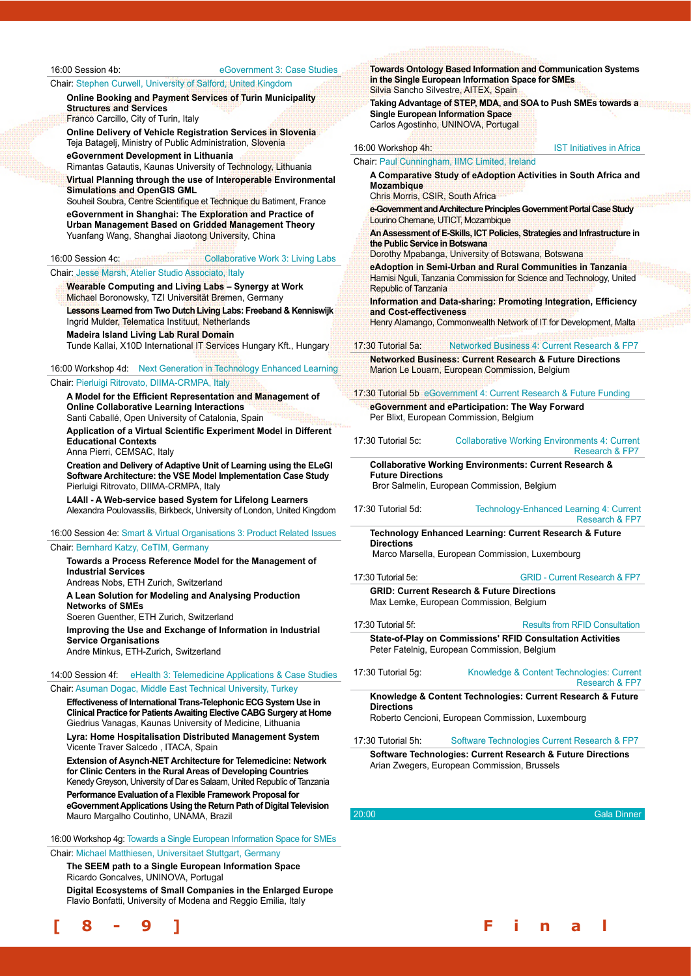16:00 Session 4b: eGovernment 3: Case Studies

Chair: Stephen Curwell, University of Salford, United Kingdom

**Online Booking and Payment Services of Turin Municipality Structures and Services**

Franco Carcillo, City of Turin, Italy

**Online Delivery of Vehicle Registration Services in Slovenia** Teja Batagelj, Ministry of Public Administration, Slovenia

**eGovernment Development in Lithuania** Rimantas Gatautis, Kaunas University of Technology, Lithuania

**Virtual Planning through the use of Interoperable Environmental Simulations and OpenGIS GML**

Souheil Soubra, Centre Scientifique et Technique du Batiment, France **eGovernment in Shanghai: The Exploration and Practice of Urban Management Based on Gridded Management Theory** Yuanfang Wang, Shanghai Jiaotong University, China

#### 16:00 Session 4c: Collaborative Work 3: Living Labs

#### Chair: Jesse Marsh, Atelier Studio Associato, Italy

**Wearable Computing and Living Labs – Synergy at Work** Michael Boronowsky, TZI Universität Bremen, Germany **Lessons Learned from Two Dutch Living Labs: Freeband & Kenniswijk**  Ingrid Mulder, Telematica Instituut, Netherlands

**Madeira Island Living Lab Rural Domain**

Tunde Kallai, X10D International IT Services Hungary Kft., Hungary

16:00 Workshop 4d: Next Generation in Technology Enhanced Learning Chair: Pierluigi Ritrovato, DIIMA-CRMPA, Italy

**A Model for the Efficient Representation and Management of Online Collaborative Learning Interactions**

Santi Caballé, Open University of Catalonia, Spain

**Application of a Virtual Scientific Experiment Model in Different Educational Contexts** Anna Pierri, CEMSAC, Italy

**Creation and Delivery of Adaptive Unit of Learning using the ELeGI Software Architecture: the VSE Model Implementation Case Study** Pierluigi Ritrovato, DIIMA-CRMPA, Italy

**L4All - A Web-service based System for Lifelong Learners** Alexandra Poulovassilis, Birkbeck, University of London, United Kingdom

16:00 Session 4e: Smart & Virtual Organisations 3: Product Related Issues Chair: Bernhard Katzy, CeTIM, Germany **Towards a Process Reference Model for the Management of Industrial Services** Andreas Nobs, ETH Zurich, Switzerland **A Lean Solution for Modeling and Analysing Production Networks of SMEs** Soeren Guenther, ETH Zurich, Switzerland **Improving the Use and Exchange of Information in Industrial Service Organisations** Andre Minkus, ETH-Zurich, Switzerland

## 14:00 Session 4f: eHealth 3: Telemedicine Applications & Case Studies

Chair: Asuman Dogac, Middle East Technical University, Turkey

**Effectiveness of International Trans-Telephonic ECG System Use in Clinical Practice for Patients Awaiting Elective CABG Surgery at Home** Giedrius Vanagas, Kaunas University of Medicine, Lithuania **Lyra: Home Hospitalisation Distributed Management System** Vicente Traver Salcedo , ITACA, Spain

**Extension of Asynch-NET Architecture for Telemedicine: Network for Clinic Centers in the Rural Areas of Developing Countries**  Kenedy Greyson, University of Dar es Salaam, United Republic of Tanzania

**Performance Evaluation of a Flexible Framework Proposal for eGovernment Applications Using the Return Path of Digital Television** Mauro Margalho Coutinho, UNAMA, Brazil

16:00 Workshop 4g: Towards a Single European Information Space for SMEs Chair: Michael Matthiesen, Universitaet Stuttgart, Germany

**The SEEM path to a Single European Information Space** Ricardo Goncalves, UNINOVA, Portugal

**Digital Ecosystems of Small Companies in the Enlarged Europe** Flavio Bonfatti, University of Modena and Reggio Emilia, Italy



|                                                              | in the Single European Information Space for SMEs<br>Silvia Sancho Silvestre, AITEX, Spain                                           | <b>Towards Ontology Based Information and Communication Systems</b> |
|--------------------------------------------------------------|--------------------------------------------------------------------------------------------------------------------------------------|---------------------------------------------------------------------|
| <b>Single European Information Space</b>                     | Taking Advantage of STEP, MDA, and SOA to Push SMEs towards a<br>Carlos Agostinho, UNINOVA, Portugal                                 |                                                                     |
| 16:00 Workshop 4h:                                           | <b>IST Initiatives in Africa</b>                                                                                                     |                                                                     |
|                                                              | Chair: Paul Cunningham, IIMC Limited, Ireland                                                                                        |                                                                     |
| <b>Mozambique</b><br><b>Chris Morris, CSIR, South Africa</b> | A Comparative Study of eAdoption Activities in South Africa and                                                                      |                                                                     |
| Lourino Chemane, UTICT, Mozambique                           | e-Government and Architecture Principles Government Portal Case Study                                                                |                                                                     |
| the Public Service in Botswana                               | An Assessment of E-Skills, ICT Policies, Strategies and Infrastructure in<br>Dorothy Mpabanga, University of Botswana, Botswana      |                                                                     |
| <b>Republic of Tanzania</b>                                  | eAdoption in Semi-Urban and Rural Communities in Tanzania<br>Hamisi Nguli, Tanzania Commission for Science and Technology, United    |                                                                     |
| and Cost-effectiveness                                       | Information and Data-sharing: Promoting Integration, Efficiency<br>Henry Alamango, Commonwealth Network of IT for Development, Malta |                                                                     |
|                                                              |                                                                                                                                      |                                                                     |
| 17:30 Tutorial 5a:                                           | Networked Business 4: Current Research & FP7<br><b>Networked Business: Current Research &amp; Future Directions</b>                  |                                                                     |
|                                                              | Marion Le Louarn, European Commission, Belgium                                                                                       |                                                                     |
|                                                              | 17:30 Tutorial 5b eGovernment 4: Current Research & Future Funding                                                                   |                                                                     |
|                                                              | eGovernment and eParticipation: The Way Forward<br>Per Blixt, European Commission, Belgium                                           |                                                                     |
| 17:30 Tutorial 5c:                                           | <b>Collaborative Working Environments 4: Current</b><br>Research & FP7                                                               |                                                                     |
|                                                              | <b>Collaborative Working Environments: Current Research &amp;</b>                                                                    |                                                                     |
| <b>Future Directions</b>                                     | Bror Salmelin, European Commission, Belgium                                                                                          |                                                                     |
| 17:30 Tutorial 5d:                                           |                                                                                                                                      |                                                                     |
|                                                              | Technology-Enhanced Learning 4: Current<br>Research & FP7                                                                            |                                                                     |
|                                                              | <b>Technology Enhanced Learning: Current Research &amp; Future</b>                                                                   |                                                                     |
| <b>Directions</b>                                            | Marco Marsella, European Commission, Luxembourg                                                                                      |                                                                     |
| 17:30 Tutorial 5e:                                           | <b>GRID - Current Research &amp; FP7</b>                                                                                             |                                                                     |
|                                                              | <b>GRID: Current Research &amp; Future Directions</b><br>Max Lemke, European Commission, Belgium                                     |                                                                     |
| 17:30 Tutorial 5f:                                           | <b>Results from RFID Consultation</b>                                                                                                |                                                                     |
|                                                              | State-of-Play on Commissions' RFID Consultation Activities<br>Peter Fatelnig, European Commission, Belgium                           |                                                                     |
| $17:30$ Tutorial 5g:                                         | Knowledge & Content Technologies: Current<br>Research & FP7                                                                          |                                                                     |
| <b>Directions</b>                                            | Knowledge & Content Technologies: Current Research & Future<br>Roberto Cencioni, European Commission, Luxembourg                     |                                                                     |
| 17:30 Tutorial 5h:                                           | Software Technologies Current Research & FP7                                                                                         |                                                                     |
|                                                              | Software Technologies: Current Research & Future Directions<br>Arian Zwegers, European Commission, Brussels                          |                                                                     |
|                                                              |                                                                                                                                      |                                                                     |
| 20:00                                                        | <b>Gala Dinner</b>                                                                                                                   |                                                                     |

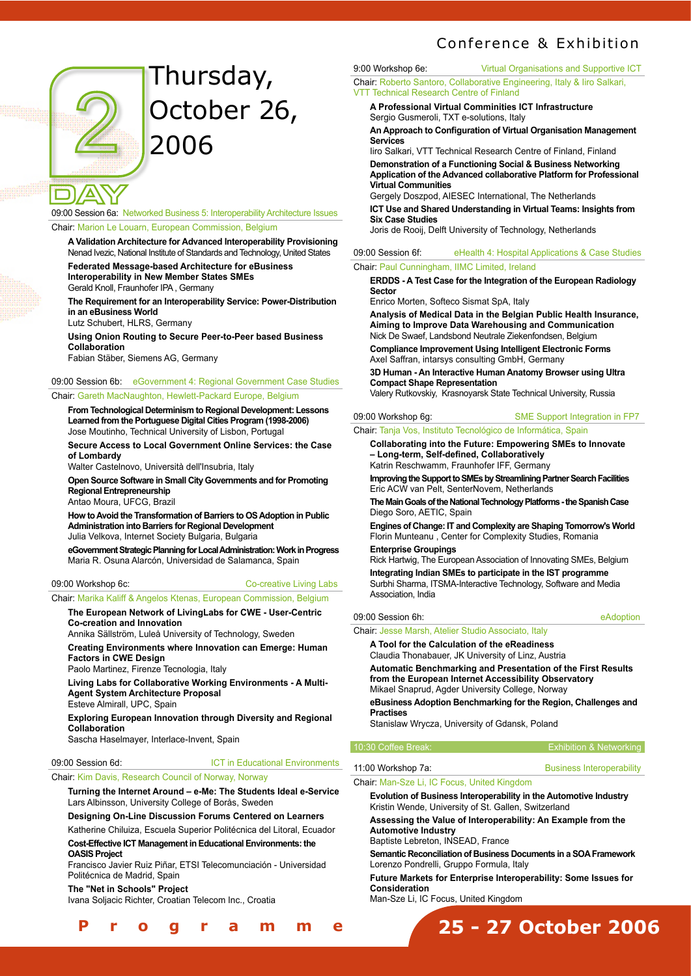## Conference & Exhibition



## Thursday, October 26, 2006

09:00 Session 6a: Networked Business 5: Interoperability Architecture Issues

#### Chair: Marion Le Louarn, European Commission, Belgium

**A Validation Architecture for Advanced Interoperability Provisioning** Nenad Ivezic, National Institute of Standards and Technology, United States **Federated Message-based Architecture for eBusiness Interoperability in New Member States SMEs** Gerald Knoll, Fraunhofer IPA , Germany

**The Requirement for an Interoperability Service: Power-Distribution in an eBusiness World**

Lutz Schubert, HLRS, Germany

**Using Onion Routing to Secure Peer-to-Peer based Business Collaboration** 

Fabian Stäber, Siemens AG, Germany

#### 09:00 Session 6b: eGovernment 4: Regional Government Case Studies

#### Chair: Gareth MacNaughton, Hewlett-Packard Europe, Belgium

**From Technological Determinism to Regional Development: Lessons Learned from the Portuguese Digital Cities Program (1998-2006)** Jose Moutinho, Technical University of Lisbon, Portugal

**Secure Access to Local Government Online Services: the Case of Lombardy**

Walter Castelnovo, Università dell'Insubria, Italy

**Open Source Software in Small City Governments and for Promoting Regional Entrepreneurship** 

Antao Moura, UFCG, Brazil

**How to Avoid the Transformation of Barriers to OS Adoption in Public Administration into Barriers for Regional Development** Julia Velkova, Internet Society Bulgaria, Bulgaria

**eGovernment Strategic Planning for Local Administration: Work in Progress** Maria R. Osuna Alarcón, Universidad de Salamanca, Spain

09:00 Workshop 6c: Co-creative Living Labs

Chair: Marika Kaliff & Angelos Ktenas, European Commission, Belgium

#### **The European Network of LivingLabs for CWE - User-Centric Co-creation and Innovation**

Annika Sällström, Luleå University of Technology, Sweden

**Creating Environments where Innovation can Emerge: Human Factors in CWE Design**

Paolo Martinez, Firenze Tecnologia, Italy

**Living Labs for Collaborative Working Environments - A Multi-Agent System Architecture Proposal**

Esteve Almirall, UPC, Spain

**Exploring European Innovation through Diversity and Regional Collaboration** 

Sascha Haselmayer, Interlace-Invent, Spain

#### 09:00 Session 6d: ICT in Educational Environments

#### Chair: Kim Davis, Research Council of Norway, Norway

**Turning the Internet Around – e-Me: The Students Ideal e-Service** Lars Albinsson, University College of Borås, Sweden

**Designing On-Line Discussion Forums Centered on Learners** Katherine Chiluiza, Escuela Superior Politécnica del Litoral, Ecuador

#### **Cost-Effective ICT Management in Educational Environments: the OASIS Project**

Francisco Javier Ruiz Piñar, ETSI Telecomunciación - Universidad Politécnica de Madrid, Spain

**The "Net in Schools" Project** 

Ivana Soljacic Richter, Croatian Telecom Inc., Croatia

### **[ 8 - 9 ] F i n a l P r o g r a m m e**

9:00 Workshop 6e: Virtual Organisations and Supportive ICT Chair: Roberto Santoro, Collaborative Engineering, Italy & Iiro Salkari, VTT Technical Research Centre of Finland

**A Professional Virtual Comminities ICT Infrastructure** Sergio Gusmeroli, TXT e-solutions, Italy

**An Approach to Configuration of Virtual Organisation Management Services**

Iiro Salkari, VTT Technical Research Centre of Finland, Finland **Demonstration of a Functioning Social & Business Networking Application of the Advanced collaborative Platform for Professional Virtual Communities**

Gergely Doszpod, AIESEC International, The Netherlands

**ICT Use and Shared Understanding in Virtual Teams: Insights from Six Case Studies** 

Joris de Rooij, Delft University of Technology, Netherlands

#### 09:00 Session 6f: eHealth 4: Hospital Applications & Case Studies Chair: Paul Cunningham, IIMC Limited, Ireland

**ERDDS - A Test Case for the Integration of the European Radiology Sector**

Enrico Morten, Softeco Sismat SpA, Italy

**Analysis of Medical Data in the Belgian Public Health Insurance, Aiming to Improve Data Warehousing and Communication** Nick De Swaef, Landsbond Neutrale Ziekenfondsen, Belgium

**Compliance Improvement Using Intelligent Electronic Forms** Axel Saffran, intarsys consulting GmbH, Germany

**3D Human - An Interactive Human Anatomy Browser using Ultra Compact Shape Representation** 

Valery Rutkovskiy, Krasnoyarsk State Technical University, Russia

#### 09:00 Workshop 6q: SME Support Integration in FP7

Chair: Tanja Vos, Instituto Tecnológico de Informática, Spain

**Collaborating into the Future: Empowering SMEs to Innovate – Long-term, Self-defined, Collaboratively** Katrin Reschwamm, Fraunhofer IFF, Germany

**Improving the Support to SMEs by Streamlining Partner Search Facilities** Eric ACW van Pelt, SenterNovem, Netherlands

**The Main Goals of the National Technology Platforms - the Spanish Case** Diego Soro, AETIC, Spain

**Engines of Change: IT and Complexity are Shaping Tomorrow's World** Florin Munteanu , Center for Complexity Studies, Romania **Enterprise Groupings**

Rick Hartwig, The European Association of Innovating SMEs, Belgium

**Integrating Indian SMEs to participate in the IST programme** Surbhi Sharma, ITSMA-Interactive Technology, Software and Media Association, India

#### 09:00 Session 6h: eAdoption

Chair: Jesse Marsh, Atelier Studio Associato, Italy

**A Tool for the Calculation of the eReadiness** Claudia Thonabauer, JK University of Linz, Austria

**Automatic Benchmarking and Presentation of the First Results from the European Internet Accessibility Observatory** Mikael Snaprud, Agder University College, Norway

**eBusiness Adoption Benchmarking for the Region, Challenges and Practises**

Stanislaw Wrycza, University of Gdansk, Poland

#### 10:30 Coffee Break: Exhibition & Networking

#### 11:00 Workshop 7a: Business Interoperability

Chair: Man-Sze Li, IC Focus, United Kingdom

**Evolution of Business Interoperability in the Automotive Industry** Kristin Wende, University of St. Gallen, Switzerland

**Assessing the Value of Interoperability: An Example from the Automotive Industry**

Baptiste Lebreton, INSEAD, France

**Semantic Reconciliation of Business Documents in a SOA Framework** Lorenzo Pondrelli, Gruppo Formula, Italy

**Future Markets for Enterprise Interoperability: Some Issues for Consideration** 

**25 - 27 October 2006**

Man-Sze Li, IC Focus, United Kingdom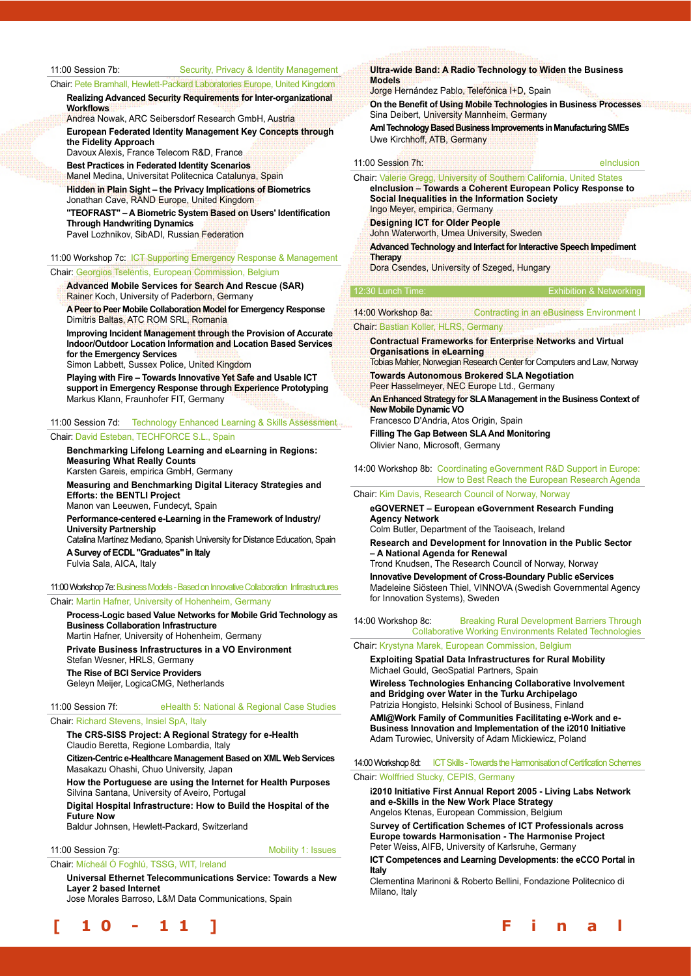#### 11:00 Session 7b: Security, Privacy & Identity Management

Chair: Pete Bramhall, Hewlett-Packard Laboratories Europe, United Kingdom **Realizing Advanced Security Requirements for Inter-organizational** 

**Workflows** Andrea Nowak, ARC Seibersdorf Research GmbH, Austria

**European Federated Identity Management Key Concepts through the Fidelity Approach**

Davoux Alexis, France Telecom R&D, France **Best Practices in Federated Identity Scenarios**

Manel Medina, Universitat Politecnica Catalunya, Spain

**Hidden in Plain Sight – the Privacy Implications of Biometrics**  Jonathan Cave, RAND Europe, United Kingdom

**"TEOFRAST" – A Biometric System Based on Users' Identification Through Handwriting Dynamics** 

Pavel Lozhnikov, SibADI, Russian Federation

#### 11:00 Workshop 7c: ICT Supporting Emergency Response & Management Chair: Georgios Tselentis, European Commission, Belgium

**Advanced Mobile Services for Search And Rescue (SAR)** Rainer Koch, University of Paderborn, Germany

**A Peer to Peer Mobile Collaboration Model for Emergency Response** Dimitris Baltas, ATC ROM SRL, Romania

**Improving Incident Management through the Provision of Accurate Indoor/Outdoor Location Information and Location Based Services for the Emergency Services**

Simon Labbett, Sussex Police, United Kingdom

**Playing with Fire – Towards Innovative Yet Safe and Usable ICT support in Emergency Response through Experience Prototyping**  Markus Klann, Fraunhofer FIT, Germany

#### 11:00 Session 7d: Technology Enhanced Learning & Skills Assessment

#### Chair: David Esteban, TECHFORCE S.L., Spain

**Benchmarking Lifelong Learning and eLearning in Regions: Measuring What Really Counts** Karsten Gareis, empirica GmbH, Germany

**Measuring and Benchmarking Digital Literacy Strategies and Efforts: the BENTLI Project**

Manon van Leeuwen, Fundecyt, Spain

**Performance-centered e-Learning in the Framework of Industry/ University Partnership**

Catalina Martínez Mediano, Spanish University for Distance Education, Spain **A Survey of ECDL "Graduates" in Italy**  Fulvia Sala, AICA, Italy

#### 11:00 Workshop 7e: Business Models - Based on Innovative Collaboration Infrrastructures

Chair: Martin Hafner, University of Hohenheim, Germany

**Process-Logic based Value Networks for Mobile Grid Technology as Business Collaboration Infrastructure** Martin Hafner, University of Hohenheim, Germany **Private Business Infrastructures in a VO Environment** Stefan Wesner, HRLS, Germany **The Rise of BCI Service Providers** Geleyn Meijer, LogicaCMG, Netherlands

11:00 Session 7f: eHealth 5: National & Regional Case Studies

#### Chair: Richard Stevens, Insiel SpA, Italy

**The CRS-SISS Project: A Regional Strategy for e-Health** Claudio Beretta, Regione Lombardia, Italy

**Citizen-Centric e-Healthcare Management Based on XML Web Services** Masakazu Ohashi, Chuo University, Japan

**How the Portuguese are using the Internet for Health Purposes** Silvina Santana, University of Aveiro, Portugal

**Digital Hospital Infrastructure: How to Build the Hospital of the Future Now**

Baldur Johnsen, Hewlett-Packard, Switzerland

#### 11:00 Session 7g: The Contract of the Mobility 1: Issues

Chair: Mícheál Ó Foghlú, TSSG, WIT, Ireland

**Universal Ethernet Telecommunications Service: Towards a New Layer 2 based Internet**

Jose Morales Barroso, L&M Data Communications, Spain



**Ultra-wide Band: A Radio Technology to Widen the Business Models**

Jorge Hernández Pablo, Telefónica I+D, Spain

**On the Benefit of Using Mobile Technologies in Business Processes** Sina Deibert, University Mannheim, Germany

**AmI Technology Based Business Improvements in Manufacturing SMEs**  Uwe Kirchhoff, ATB, Germany

| 11:00 Session 7h: | elnclusion |
|-------------------|------------|
|                   |            |

Chair: Valerie Gregg, University of Southern California, United States **eInclusion – Towards a Coherent European Policy Response to Social Inequalities in the Information Society** Ingo Meyer, empirica, Germany **Designing ICT for Older People** John Waterworth, Umea University, Sweden

#### **Advanced Technology and Interfact for Interactive Speech Impediment Therapy**

Dora Csendes, University of Szeged, Hungary

#### $2:30$  Lunch Tim

| 14:00 Workshop 8a: | Contracting in an eBusiness Environment I |  |
|--------------------|-------------------------------------------|--|

#### Chair: Bastian Koller, HLRS, Germany

**Contractual Frameworks for Enterprise Networks and Virtual Organisations in eLearning**

Tobias Mahler, Norwegian Research Center for Computers and Law, Norway **Towards Autonomous Brokered SLA Negotiation**

Peer Hasselmeyer, NEC Europe Ltd., Germany

**An Enhanced Strategy for SLA Management in the Business Context of New Mobile Dynamic VO**

Francesco D'Andria, Atos Origin, Spain **Filling The Gap Between SLA And Monitoring**  Olivier Nano, Microsoft, Germany

#### 14:00 Workshop 8b: Coordinating eGovernment R&D Support in Europe: How to Best Reach the European Research Agenda

#### Chair: Kim Davis, Research Council of Norway, Norway

**eGOVERNET – European eGovernment Research Funding Agency Network**

Colm Butler, Department of the Taoiseach, Ireland

**Research and Development for Innovation in the Public Sector – A National Agenda for Renewal**

Trond Knudsen, The Research Council of Norway, Norway **Innovative Development of Cross-Boundary Public eServices** Madeleine Siösteen Thiel, VINNOVA (Swedish Governmental Agency for Innovation Systems), Sweden

14:00 Workshop 8c: Breaking Rural Development Barriers Through Collaborative Working Environments Related Technologies

Chair: Krystyna Marek, European Commission, Belgium

**Exploiting Spatial Data Infrastructures for Rural Mobility** Michael Gould, GeoSpatial Partners, Spain

**Wireless Technologies Enhancing Collaborative Involvement and Bridging over Water in the Turku Archipelago** Patrizia Hongisto, Helsinki School of Business, Finland

**AMI@Work Family of Communities Facilitating e-Work and e-Business Innovation and Implementation of the i2010 Initiative** Adam Turowiec, University of Adam Mickiewicz, Poland

14:00 Workshop 8d: ICT Skills - Towards the Harmonisation of Certification Schemes Chair: Wolffried Stucky, CEPIS, Germany

**i2010 Initiative First Annual Report 2005 - Living Labs Network and e-Skills in the New Work Place Strategy**

Angelos Ktenas, European Commission, Belgium

S**urvey of Certification Schemes of ICT Professionals across Europe towards Harmonisation - The Harmonise Project** Peter Weiss, AIFB, University of Karlsruhe, Germany

**ICT Competences and Learning Developments: the eCCO Portal in Italy**

Clementina Marinoni & Roberto Bellini, Fondazione Politecnico di Milano, Italy

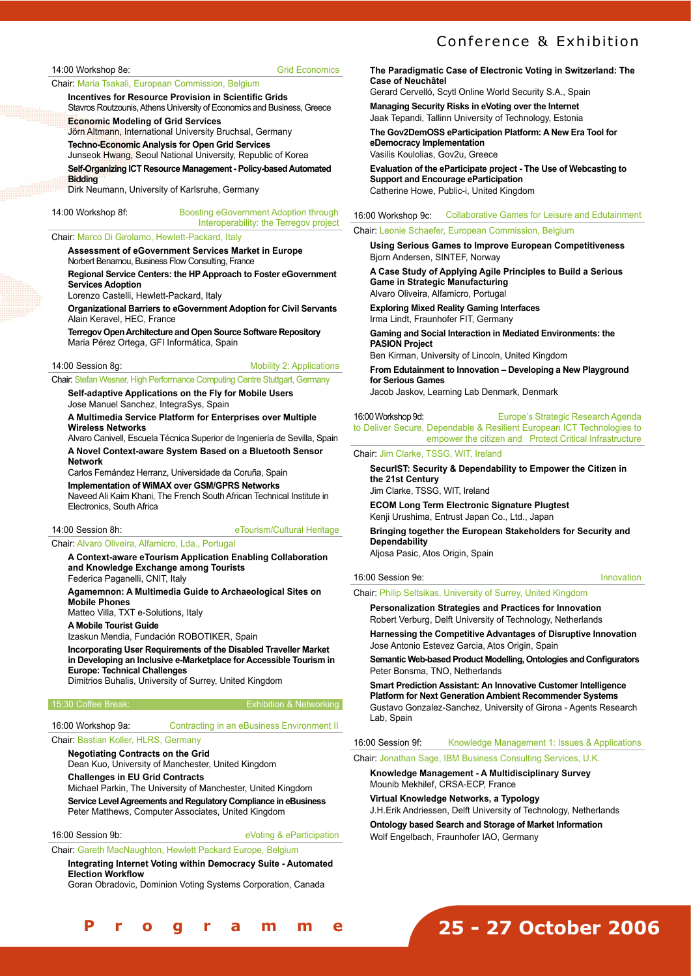### Conference & Exhibition

#### 14:00 Workshop 8e: Grid Economics

#### Chair: Maria Tsakali, European Commission, Belgium

**Incentives for Resource Provision in Scientific Grids** Stavros Routzounis, Athens University of Economics and Business, Greece

**Economic Modeling of Grid Services**

Jörn Altmann, International University Bruchsal, Germany **Techno-Economic Analysis for Open Grid Services**

Junseok Hwang, Seoul National University, Republic of Korea **Self-Organizing ICT Resource Management - Policy-based Automated** 

**Bidding**  Dirk Neumann, University of Karlsruhe, Germany

14:00 Workshop 8f: Boosting eGovernment Adoption through Interoperability: the Terregov project

#### Chair: Marco Di Girolamo, Hewlett-Packard, Italy

**Assessment of eGovernment Services Market in Europe** Norbert Benamou, Business Flow Consulting, France

**Regional Service Centers: the HP Approach to Foster eGovernment Services Adoption**

Lorenzo Castelli, Hewlett-Packard, Italy

**Organizational Barriers to eGovernment Adoption for Civil Servants** Alain Keravel, HEC, France

**Terregov Open Architecture and Open Source Software Repository**  Maria Pérez Ortega, GFI Informática, Spain

#### 14:00 Session 8g: The Contract of Mobility 2: Applications

Chair: Stefan Wesner, High Performance Computing Centre Stuttgart, Germany

**Self-adaptive Applications on the Fly for Mobile Users** Jose Manuel Sanchez, IntegraSys, Spain

**A Multimedia Service Platform for Enterprises over Multiple Wireless Networks**

Alvaro Canivell, Escuela Técnica Superior de Ingeniería de Sevilla, Spain **A Novel Context-aware System Based on a Bluetooth Sensor Network**

Carlos Fernández Herranz, Universidade da Coruña, Spain

**Implementation of WiMAX over GSM/GPRS Networks**

Naveed Ali Kaim Khani, The French South African Technical Institute in Electronics, South Africa

#### 14:00 Session 8h: eTourism/Cultural Heritage

Chair: Alvaro Oliveira, Alfamicro, Lda., Portugal

**A Context-aware eTourism Application Enabling Collaboration and Knowledge Exchange among Tourists**

Federica Paganelli, CNIT, Italy **Agamemnon: A Multimedia Guide to Archaeological Sites on** 

**Mobile Phones** Matteo Villa, TXT e-Solutions, Italy

**A Mobile Tourist Guide**

Izaskun Mendia, Fundación ROBOTIKER, Spain

**Incorporating User Requirements of the Disabled Traveller Market in Developing an Inclusive e-Marketplace for Accessible Tourism in Europe: Technical Challenges** 

Dimitrios Buhalis, University of Surrey, United Kingdom

#### 15:30 Coffee Break: Exhibition & Networking

16:00 Workshop 9a: Contracting in an eBusiness Environment II

#### Chair: Bastian Koller, HLRS, Germany

**Negotiating Contracts on the Grid** Dean Kuo, University of Manchester, United Kingdom **Challenges in EU Grid Contracts** Michael Parkin, The University of Manchester, United Kingdom **Service Level Agreements and Regulatory Compliance in eBusiness** Peter Matthews, Computer Associates, United Kingdom

16:00 Session 9b: eVoting & eParticipation

Chair: Gareth MacNaughton, Hewlett Packard Europe, Belgium **Integrating Internet Voting within Democracy Suite - Automated Election Workflow**

Goran Obradovic, Dominion Voting Systems Corporation, Canada

**The Paradigmatic Case of Electronic Voting in Switzerland: The Case of Neuchâtel**

Gerard Cervelló, Scytl Online World Security S.A., Spain

**Managing Security Risks in eVoting over the Internet** Jaak Tepandi, Tallinn University of Technology, Estonia

**The Gov2DemOSS eParticipation Platform: A New Era Tool for eDemocracy Implementation** 

Vasilis Koulolias, Gov2u, Greece

**Evaluation of the eParticipate project - The Use of Webcasting to Support and Encourage eParticipation**  Catherine Howe, Public-i, United Kingdom

#### 16:00 Workshop 9c: Collaborative Games for Leisure and Edutainment

#### Chair: Leonie Schaefer, European Commission, Belgium

**Using Serious Games to Improve European Competitiveness** Bjorn Andersen, SINTEF, Norway

**A Case Study of Applying Agile Principles to Build a Serious Game in Strategic Manufacturing** Alvaro Oliveira, Alfamicro, Portugal

**Exploring Mixed Reality Gaming Interfaces** Irma Lindt, Fraunhofer FIT, Germany

**Gaming and Social Interaction in Mediated Environments: the PASION Project** 

Ben Kirman, University of Lincoln, United Kingdom

**From Edutainment to Innovation – Developing a New Playground for Serious Games**  Jacob Jaskov, Learning Lab Denmark, Denmark

#### 16:00 Workshop 9d: Europe's Strategic Research Agenda

to Deliver Secure, Dependable & Resilient European ICT Technologies to empower the citizen and Protect Critical Infrastructure

#### Chair: Jim Clarke, TSSG, WIT, Ireland

**SecurIST: Security & Dependability to Empower the Citizen in the 21st Century**

Jim Clarke, TSSG, WIT, Ireland

**ECOM Long Term Electronic Signature Plugtest** Kenji Urushima, Entrust Japan Co., Ltd., Japan

**Bringing together the European Stakeholders for Security and Dependability** Aljosa Pasic, Atos Origin, Spain

16:00 Session 9e: Innovation

Chair: Philip Seltsikas, University of Surrey, United Kingdom

**Personalization Strategies and Practices for Innovation** Robert Verburg, Delft University of Technology, Netherlands

**Harnessing the Competitive Advantages of Disruptive Innovation** Jose Antonio Estevez Garcia, Atos Origin, Spain

**Semantic Web-based Product Modelling, Ontologies and Configurators** Peter Bonsma, TNO, Netherlands

**Smart Prediction Assistant: An Innovative Customer Intelligence Platform for Next Generation Ambient Recommender Systems**  Gustavo Gonzalez-Sanchez, University of Girona - Agents Research Lab, Spain

16:00 Session 9f: Knowledge Management 1: Issues & Applications

Chair: Jonathan Sage, IBM Business Consulting Services, U.K.

**Knowledge Management - A Multidisciplinary Survey** Mounib Mekhilef, CRSA-ECP, France

**Virtual Knowledge Networks, a Typology** J.H.Erik Andriessen, Delft University of Technology, Netherlands

**Ontology based Search and Storage of Market Information** Wolf Engelbach, Fraunhofer IAO, Germany

## **25 - 27 October 2006**

**[ 1 0 - 1 1 ] F i n a l P r o g r a m m e**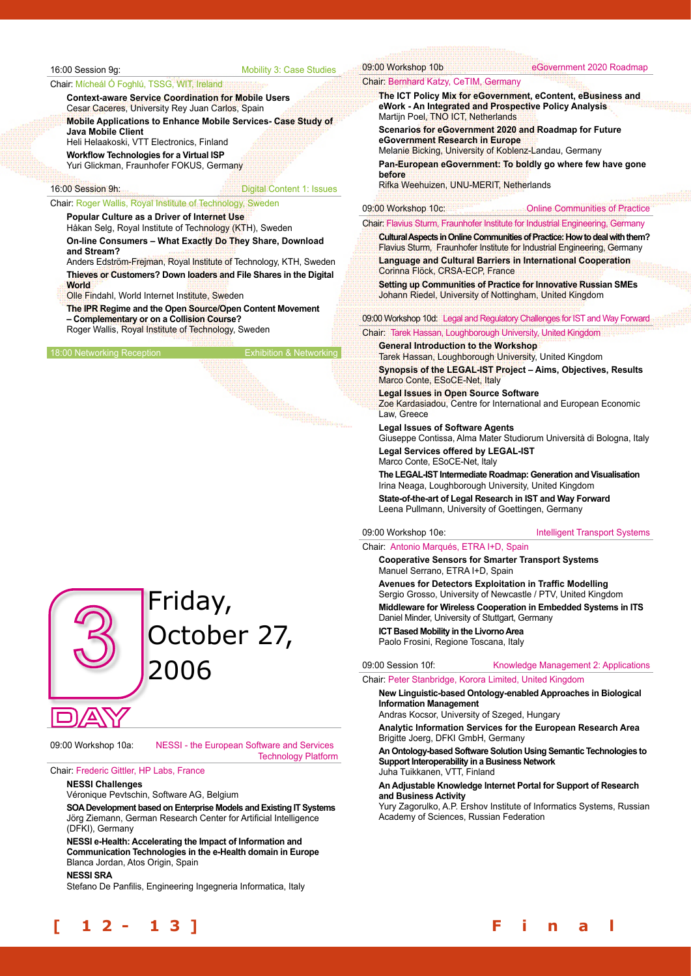#### 16:00 Session 9g: Mobility 3: Case Studies

#### Chair: Mícheál Ó Foghlú, TSSG, WIT, Ireland

**Context-aware Service Coordination for Mobile Users** Cesar Caceres, University Rey Juan Carlos, Spain

**Mobile Applications to Enhance Mobile Services- Case Study of Java Mobile Client**

Heli Helaakoski, VTT Electronics, Finland **Workflow Technologies for a Virtual ISP** 

Yuri Glickman, Fraunhofer FOKUS, Germany

#### 16:00 Session 9h: Digital Content 1: Issues

#### Chair: Roger Wallis, Royal Institute of Technology, Sweden

**Popular Culture as a Driver of Internet Use** Håkan Selg, Royal Institute of Technology (KTH), Sweden

**On-line Consumers – What Exactly Do They Share, Download and Stream?**

Anders Edström-Frejman, Royal Institute of Technology, KTH, Sweden **Thieves or Customers? Down loaders and File Shares in the Digital World**

Olle Findahl, World Internet Institute, Sweden

**The IPR Regime and the Open Source/Open Content Movement – Complementary or on a Collision Course?** 

Roger Wallis, Royal Institute of Technology, Sweden

18:00 Networking Reception



## Friday, October 27, 2006

09:00 Workshop 10a: NESSI - the European Software and Services

Technology Platform

#### Chair: Frederic Gittler, HP Labs, France

**NESSI Challenges**

Véronique Pevtschin, Software AG, Belgium

**SOA Development based on Enterprise Models and Existing IT Systems** Jörg Ziemann, German Research Center for Artificial Intelligence (DFKI), Germany

**NESSI e-Health: Accelerating the Impact of Information and Communication Technologies in the e-Health domain in Europe** Blanca Jordan, Atos Origin, Spain

#### **NESSI SRA**

Stefano De Panfilis, Engineering Ingegneria Informatica, Italy

09:00 Workshop 10b eGovernment 2020 Roadmap

#### Chair: Bernhard Katzy, CeTIM, Germany

**The ICT Policy Mix for eGovernment, eContent, eBusiness and eWork - An Integrated and Prospective Policy Analysis** Martijn Poel, TNO ICT, Netherlands

**Scenarios for eGovernment 2020 and Roadmap for Future eGovernment Research in Europe**

Melanie Bicking, University of Koblenz-Landau, Germany

**Pan-European eGovernment: To boldly go where few have gone before**

Rifka Weehuizen, UNU-MERIT, Netherlands

#### 09:00 Workshop 10c: Communities of Practice

#### Chair: Flavius Sturm, Fraunhofer Institute for Industrial Engineering, Germany

**Cultural Aspects in Online Communities of Practice: How to deal with them?** Flavius Sturm, Fraunhofer Institute for Industrial Engineering, Germany **Language and Cultural Barriers in International Cooperation** Corinna Flöck, CRSA-ECP, France

**Setting up Communities of Practice for Innovative Russian SMEs** Johann Riedel, University of Nottingham, United Kingdom

09:00 Workshop 10d: Legal and Regulatory Challenges for IST and Way Forward

Chair: Tarek Hassan, Loughborough University, United Kingdom

**General Introduction to the Workshop**

Tarek Hassan, Loughborough University, United Kingdom **Synopsis of the LEGAL-IST Project – Aims, Objectives, Results** Marco Conte, ESoCE-Net, Italy

**Legal Issues in Open Source Software**

Zoe Kardasiadou, Centre for International and European Economic Law, Greece

#### **Legal Issues of Software Agents**

Giuseppe Contissa, Alma Mater Studiorum Università di Bologna, Italy **Legal Services offered by LEGAL-IST** Marco Conte, ESoCE-Net, Italy

**The LEGAL-IST Intermediate Roadmap: Generation and Visualisation**

Irina Neaga, Loughborough University, United Kingdom **State-of-the-art of Legal Research in IST and Way Forward** Leena Pullmann, University of Goettingen, Germany

#### 09:00 Workshop 10e: Intelligent Transport Systems

#### Chair: Antonio Marqués, ETRA I+D, Spain

**Cooperative Sensors for Smarter Transport Systems** Manuel Serrano, ETRA I+D, Spain

**Avenues for Detectors Exploitation in Traffic Modelling** Sergio Grosso, University of Newcastle / PTV, United Kingdom **Middleware for Wireless Cooperation in Embedded Systems in ITS** Daniel Minder, University of Stuttgart, Germany **ICT Based Mobility in the Livorno Area** Paolo Frosini, Regione Toscana, Italy

#### 09:00 Session 10f: Knowledge Management 2: Applications

Chair: Peter Stanbridge, Korora Limited, United Kingdom

**New Linguistic-based Ontology-enabled Approaches in Biological Information Management**

Andras Kocsor, University of Szeged, Hungary

**Analytic Information Services for the European Research Area** Brigitte Joerg, DFKI GmbH, Germany

**An Ontology-based Software Solution Using Semantic Technologies to Support Interoperability in a Business Network**

Juha Tuikkanen, VTT, Finland

#### **An Adjustable Knowledge Internet Portal for Support of Research and Business Activity**

Yury Zagorulko, A.P. Ershov Institute of Informatics Systems, Russian Academy of Sciences, Russian Federation



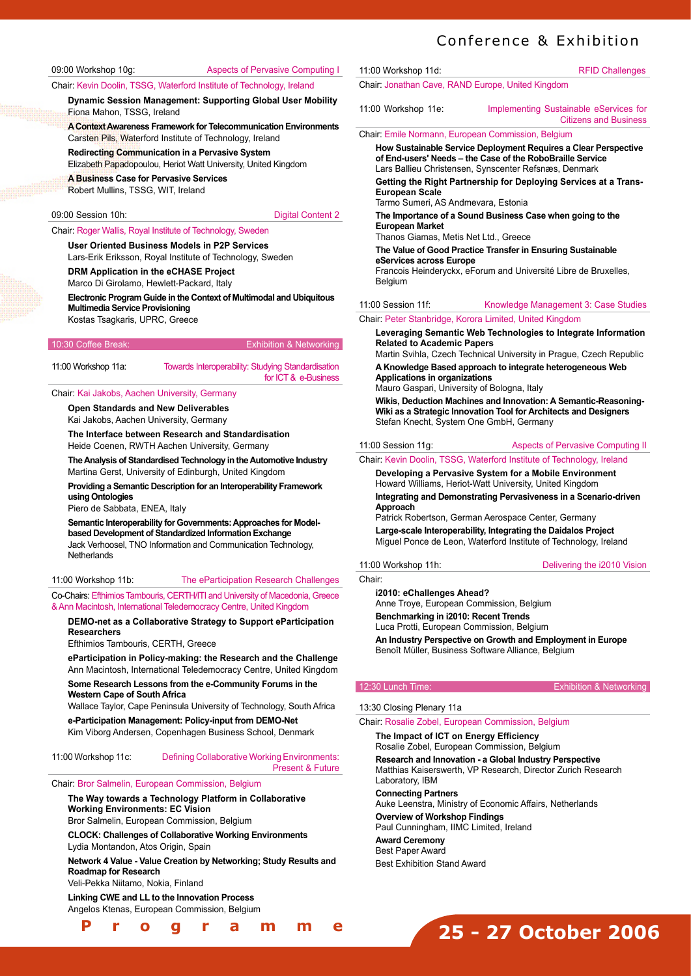Chair: Kevin Doolin, TSSG, Waterford Institute of Technology, Ireland

**Dynamic Session Management: Supporting Global User Mobility** Fiona Mahon, TSSG, Ireland

**A Context Awareness Framework for Telecommunication Environments** Carsten Pils, Waterford Institute of Technology, Ireland

**Redirecting Communication in a Pervasive System** Elizabeth Papadopoulou, Heriot Watt University, United Kingdom

**A Business Case for Pervasive Services** 

Robert Mullins, TSSG, WIT, Ireland

#### 09:00 Session 10h: Digital Content 2

#### Chair: Roger Wallis, Royal Institute of Technology, Sweden

**User Oriented Business Models in P2P Services**

Lars-Erik Eriksson, Royal Institute of Technology, Sweden

**DRM Application in the eCHASE Project**

Marco Di Girolamo, Hewlett-Packard, Italy

**Electronic Program Guide in the Context of Multimodal and Ubiquitous Multimedia Service Provisioning**

Kostas Tsagkaris, UPRC, Greece

#### 10:30 Coffee Break: Exhibition & Networking

| 11:00 Workshop 11a: | <b>Towards Interoperability: Studying Standardisation</b> |
|---------------------|-----------------------------------------------------------|
|                     | for ICT & e-Business                                      |

#### Chair: Kai Jakobs, Aachen University, Germany

**Open Standards and New Deliverables**

Kai Jakobs, Aachen University, Germany

**The Interface between Research and Standardisation** Heide Coenen, RWTH Aachen University, Germany

**The Analysis of Standardised Technology in the Automotive Industry** Martina Gerst, University of Edinburgh, United Kingdom

**Providing a Semantic Description for an Interoperability Framework using Ontologies**

Piero de Sabbata, ENEA, Italy

**Semantic Interoperability for Governments: Approaches for Modelbased Development of Standardized Information Exchange** Jack Verhoosel, TNO Information and Communication Technology, **Netherlands** 

#### 11:00 Workshop 11b: The eParticipation Research Challenges

Co-Chairs: Efthimios Tambouris, CERTH/ITI and University of Macedonia, Greece & Ann Macintosh, International Teledemocracy Centre, United Kingdom

#### **DEMO-net as a Collaborative Strategy to Support eParticipation Researchers**

Efthimios Tambouris, CERTH, Greece

**eParticipation in Policy-making: the Research and the Challenge** Ann Macintosh, International Teledemocracy Centre, United Kingdom

**Some Research Lessons from the e-Community Forums in the Western Cape of South Africa**

Wallace Taylor, Cape Peninsula University of Technology, South Africa

**e-Participation Management: Policy-input from DEMO-Net**  Kim Viborg Andersen, Copenhagen Business School, Denmark

11:00 Workshop 11c: Defining Collaborative Working Environments: Present & Future

#### Chair: Bror Salmelin, European Commission, Belgium

#### **The Way towards a Technology Platform in Collaborative Working Environments: EC Vision**

Bror Salmelin, European Commission, Belgium

**CLOCK: Challenges of Collaborative Working Environments** Lydia Montandon, Atos Origin, Spain

#### **Network 4 Value - Value Creation by Networking; Study Results and Roadmap for Research**

Veli-Pekka Niitamo, Nokia, Finland

**Linking CWE and LL to the Innovation Process**

Angelos Ktenas, European Commission, Belgium

#### **[ 1 2 - 1 3 ] F i n a l P r o g r a m m e**

## Conference & Exhibition

11:00 Workshop 11d: RFID Challenges Chair: Jonathan Cave, RAND Europe, United Kingdom 11:00 Workshop 11e: Implementing Sustainable eServices for Citizens and Business Chair: Emile Normann, European Commission, Belgium **How Sustainable Service Deployment Requires a Clear Perspective** 

**of End-users' Needs – the Case of the RoboBraille Service** Lars Ballieu Christensen, Synscenter Refsnæs, Denmark

**Getting the Right Partnership for Deploying Services at a Trans-European Scale** Tarmo Sumeri, AS Andmevara, Estonia

**The Importance of a Sound Business Case when going to the European Market**

Thanos Giamas, Metis Net Ltd., Greece

**The Value of Good Practice Transfer in Ensuring Sustainable eServices across Europe**

Francois Heinderyckx, eForum and Université Libre de Bruxelles, Belgium

#### 11:00 Session 11f: Knowledge Management 3: Case Studies

#### Chair: Peter Stanbridge, Korora Limited, United Kingdom

**Leveraging Semantic Web Technologies to Integrate Information Related to Academic Papers**  Martin Svihla, Czech Technical University in Prague, Czech Republic

**A Knowledge Based approach to integrate heterogeneous Web Applications in organizations**

Mauro Gaspari, University of Bologna, Italy

**Wikis, Deduction Machines and Innovation: A Semantic-Reasoning-Wiki as a Strategic Innovation Tool for Architects and Designers** Stefan Knecht, System One GmbH, Germany

#### 11:00 Session 11g: Aspects of Pervasive Computing II

Chair: Kevin Doolin, TSSG, Waterford Institute of Technology, Ireland

**Developing a Pervasive System for a Mobile Environment** Howard Williams, Heriot-Watt University, United Kingdom

**Integrating and Demonstrating Pervasiveness in a Scenario-driven Approach**

Patrick Robertson, German Aerospace Center, Germany **Large-scale Interoperability, Integrating the Daidalos Project** Miguel Ponce de Leon, Waterford Institute of Technology, Ireland

#### 11:00 Workshop 11h: Delivering the i2010 Vision

**Chair** 

**i2010: eChallenges Ahead?**

Anne Troye, European Commission, Belgium **Benchmarking in i2010: Recent Trends** Luca Protti, European Commission, Belgium **An Industry Perspective on Growth and Employment in Europe** Benoît Müller, Business Software Alliance, Belgium

#### 12:30 Lunch Time: Exhibition & Networking

#### 13:30 Closing Plenary 11a

Chair: Rosalie Zobel, European Commission, Belgium

**The Impact of ICT on Energy Efficiency**  Rosalie Zobel, European Commission, Belgium **Research and Innovation - a Global Industry Perspective** Matthias Kaiserswerth, VP Research, Director Zurich Research Laboratory, IBM **Connecting Partners** Auke Leenstra, Ministry of Economic Affairs, Netherlands **Overview of Workshop Findings** Paul Cunningham, IIMC Limited, Ireland

**Award Ceremony** Best Paper Award Best Exhibition Stand Award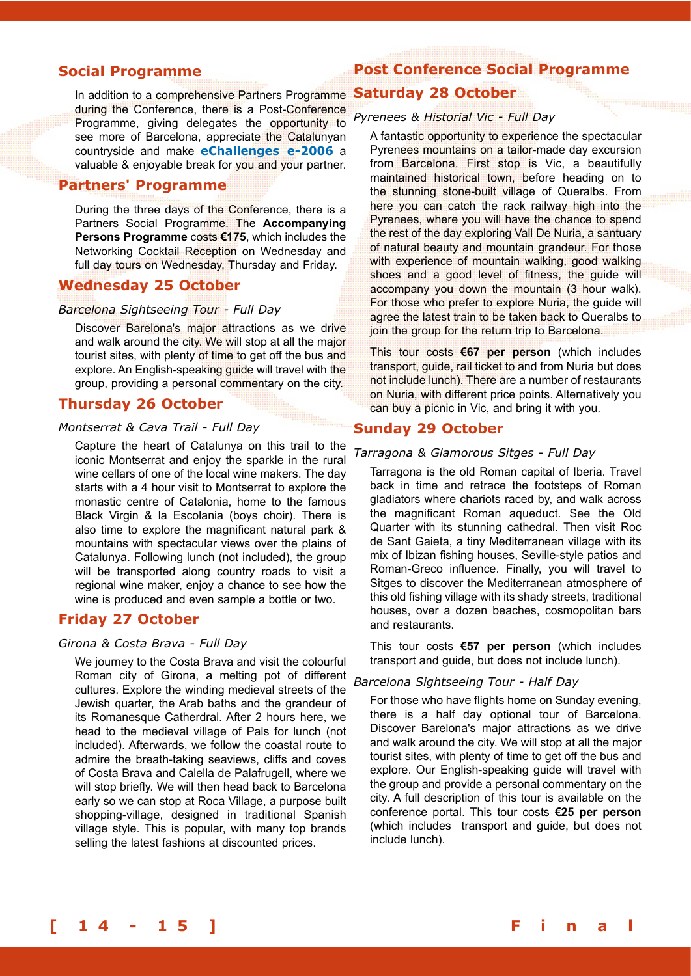#### **Social Programme**

In addition to a comprehensive Partners Programme during the Conference, there is a Post-Conference Programme, giving delegates the opportunity to see more of Barcelona, appreciate the Catalunyan countryside and make **eChallenges e-2006** a valuable & enjoyable break for you and your partner.

#### **Partners' Programme**

During the three days of the Conference, there is a Partners Social Programme. The **Accompanying Persons Programme** costs **€175**, which includes the Networking Cocktail Reception on Wednesday and full day tours on Wednesday, Thursday and Friday.

#### **Wednesday 25 October**

#### *Barcelona Sightseeing Tour - Full Day*

Discover Barelona's major attractions as we drive and walk around the city. We will stop at all the major tourist sites, with plenty of time to get off the bus and explore. An English-speaking guide will travel with the group, providing a personal commentary on the city.

#### **Thursday 26 October**

#### *Montserrat & Cava Trail - Full Day*

Capture the heart of Catalunya on this trail to the iconic Montserrat and enjoy the sparkle in the rural wine cellars of one of the local wine makers. The day starts with a 4 hour visit to Montserrat to explore the monastic centre of Catalonia, home to the famous Black Virgin & la Escolania (boys choir). There is also time to explore the magnificant natural park & mountains with spectacular views over the plains of Catalunya. Following lunch (not included), the group will be transported along country roads to visit a regional wine maker, enjoy a chance to see how the wine is produced and even sample a bottle or two.

#### **Friday 27 October**

#### *Girona & Costa Brava - Full Day*

We journey to the Costa Brava and visit the colourful Roman city of Girona, a melting pot of different cultures. Explore the winding medieval streets of the Jewish quarter, the Arab baths and the grandeur of its Romanesque Catherdral. After 2 hours here, we head to the medieval village of Pals for lunch (not included). Afterwards, we follow the coastal route to admire the breath-taking seaviews, cliffs and coves of Costa Brava and Calella de Palafrugell, where we will stop briefly. We will then head back to Barcelona early so we can stop at Roca Village, a purpose built shopping-village, designed in traditional Spanish village style. This is popular, with many top brands selling the latest fashions at discounted prices.

#### **Post Conference Social Programme**

#### **Saturday 28 October**

#### *Pyrenees & Historial Vic - Full Day*

A fantastic opportunity to experience the spectacular Pyrenees mountains on a tailor-made day excursion from Barcelona. First stop is Vic, a beautifully maintained historical town, before heading on to the stunning stone-built village of Queralbs. From here you can catch the rack railway high into the Pyrenees, where you will have the chance to spend the rest of the day exploring Vall De Nuria, a santuary of natural beauty and mountain grandeur. For those with experience of mountain walking, good walking shoes and a good level of fitness, the guide will accompany you down the mountain (3 hour walk). For those who prefer to explore Nuria, the guide will agree the latest train to be taken back to Queralbs to join the group for the return trip to Barcelona.

This tour costs **€67 per person** (which includes transport, guide, rail ticket to and from Nuria but does not include lunch). There are a number of restaurants on Nuria, with different price points. Alternatively you can buy a picnic in Vic, and bring it with you.

#### **Sunday 29 October**

#### *Tarragona & Glamorous Sitges - Full Day*

Tarragona is the old Roman capital of Iberia. Travel back in time and retrace the footsteps of Roman gladiators where chariots raced by, and walk across the magnificant Roman aqueduct. See the Old Quarter with its stunning cathedral. Then visit Roc de Sant Gaieta, a tiny Mediterranean village with its mix of Ibizan fishing houses, Seville-style patios and Roman-Greco influence. Finally, you will travel to Sitges to discover the Mediterranean atmosphere of this old fishing village with its shady streets, traditional houses, over a dozen beaches, cosmopolitan bars and restaurants.

This tour costs **€57 per person** (which includes transport and guide, but does not include lunch).

#### *Barcelona Sightseeing Tour - Half Day*

For those who have flights home on Sunday evening, there is a half day optional tour of Barcelona. Discover Barelona's major attractions as we drive and walk around the city. We will stop at all the major tourist sites, with plenty of time to get off the bus and explore. Our English-speaking guide will travel with the group and provide a personal commentary on the city. A full description of this tour is available on the conference portal. This tour costs **€25 per person**  (which includes transport and guide, but does not include lunch).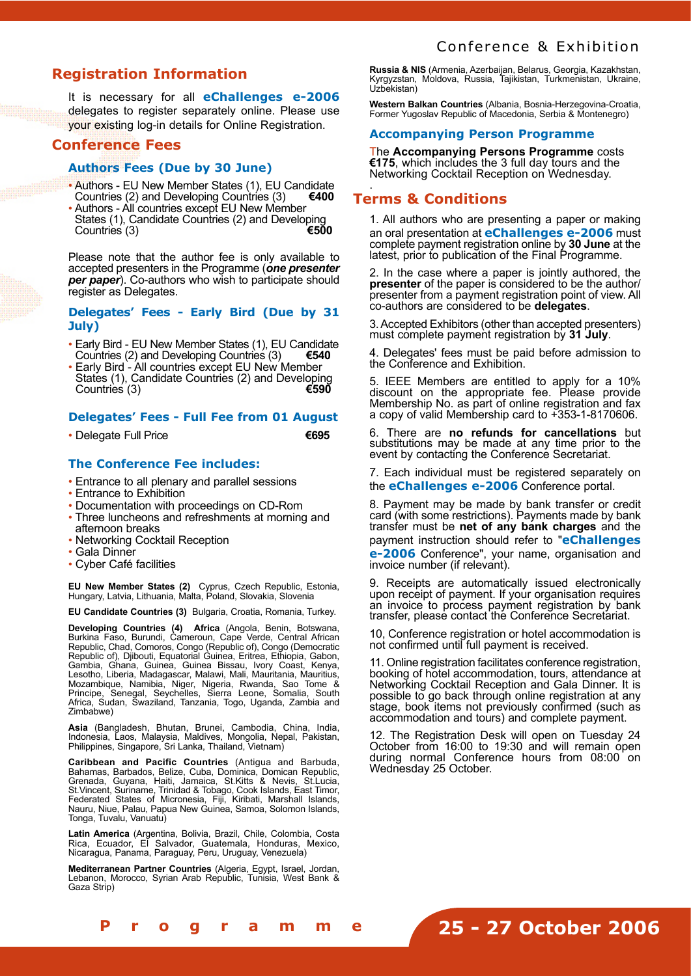### **Registration Information**

It is necessary for all **eChallenges e-2006** delegates to register separately online. Please use your existing log-in details for Online Registration.

#### **Conference Fees**

#### **Authors Fees (Due by 30 June)**

- Authors EU New Member States (1), EU Candidate Countries (3)  $\epsilon$ 400 Countries (2) and Developing Countries (3)
- Authors All countries except EU New Member States (1), Candidate Countries (2) and Developing<br>Countries (3) Countries (3)

Please note that the author fee is only available to accepted presenters in the Programme (*one presenter per paper*). Co-authors who wish to participate should register as Delegates.

#### **Delegates' Fees - Early Bird (Due by 31 July)**

- Early Bird EU New Member States (1), EU Candidate<br>Countries (2) and Developing Countries (3)  $\epsilon$ 540 Countries (2) and Developing Countries (3)
- Early Bird All countries except EU New Member States (1), Candidate Countries (2) and Developing<br>Countries (3) Countries (3)

#### **Delegates' Fees - Full Fee from 01 August**

• Delegate Full Price **€695**

#### **The Conference Fee includes:**

- Entrance to all plenary and parallel sessions
- Entrance to Exhibition
- Documentation with proceedings on CD-Rom
- Three luncheons and refreshments at morning and afternoon breaks
- Networking Cocktail Reception
- Gala Dinner
- Cyber Café facilities

**EU New Member States (2)** Cyprus, Czech Republic, Estonia, Hungary, Latvia, Lithuania, Malta, Poland, Slovakia, Slovenia

**EU Candidate Countries (3)** Bulgaria, Croatia, Romania, Turkey.

**Developing Countries (4) Africa** (Angola, Benin, Botswana, Burkina Faso, Burundi, Cameroun, Cape Verde, Central African Republic, Chad, Comoros, Congo (Republic of), Congo (Democratic Republic of), Djibouti, Equatorial Guinea, Eritrea, Ethiopia, Gabon, Gambia, Ghana, Guinea, Guinea Bissau, Ivory Coast, Kenya, Lesotho, Liberia, Madagascar, Malawi, Mali, Mauritania, Mauritius, Mozambique, Namibia, Niger, Nigeria, Rwanda, Sao Tome & Principe, Senegal, Seychelles, Sierra Leone, Somalia, South Africa, Sudan, Swaziland, Tanzania, Togo, Uganda, Zambia and Zimbabwe)

**Asia** (Bangladesh, Bhutan, Brunei, Cambodia, China, India, Indonesia, Laos, Malaysia, Maldives, Mongolia, Nepal, Pakistan, Philippines, Singapore, Sri Lanka, Thailand, Vietnam)

**Caribbean and Pacific Countries** (Antigua and Barbuda, Bahamas, Barbados, Belize, Cuba, Dominica, Domican Republic, Grenada, Guyana, Haiti, Jamaica, St.Kitts & Nevis, St.Lucia, St.Vincent, Suriname, Trinidad & Tobago, Cook Islands, East Timor, Federated States of Micronesia, Fiji, Kiribati, Marshall Islands, Nauru, Niue, Palau, Papua New Guinea, Samoa, Solomon Islands, Tonga, Tuvalu, Vanuatu)

**Latin America** (Argentina, Bolivia, Brazil, Chile, Colombia, Costa Rica, Ecuador, El Salvador, Guatemala, Honduras, Mexico, Nicaragua, Panama, Paraguay, Peru, Uruguay, Venezuela)

**Mediterranean Partner Countries** (Algeria, Egypt, Israel, Jordan, Lebanon, Morocco, Syrian Arab Republic, Tunisia, West Bank & Gaza Strip)

**Russia & NIS** (Armenia, Azerbaijan, Belarus, Georgia, Kazakhstan, Kyrgyzstan, Moldova, Russia, Tajikistan, Turkmenistan, Ukraine, Uzbekistan)

**Western Balkan Countries** (Albania, Bosnia-Herzegovina-Croatia, Former Yugoslav Republic of Macedonia, Serbia & Montenegro)

#### **Accompanying Person Programme**

The **Accompanying Persons Programme** costs **€175**, which includes the 3 full day tours and the Networking Cocktail Reception on Wednesday.

#### . **Terms & Conditions**

1. All authors who are presenting a paper or making an oral presentation at **eChallenges e-2006** must complete payment registration online by **30 June** at the latest, prior to publication of the Final Programme.

2. In the case where a paper is jointly authored, the **presenter** of the paper is considered to be the author/ presenter from a payment registration point of view. All co-authors are considered to be **delegates**.

3. Accepted Exhibitors (other than accepted presenters) must complete payment registration by **31 July**.

4. Delegates' fees must be paid before admission to the Conference and Exhibition.

5. IEEE Members are entitled to apply for a 10% discount on the appropriate fee. Please provide Membership No. as part of online registration and fax a copy of valid Membership card to +353-1-8170606.

6. There are **no refunds for cancellations** but substitutions may be made at any time prior to the event by contacting the Conference Secretariat.

7. Each individual must be registered separately on the **eChallenges e-2006** Conference portal.

8. Payment may be made by bank transfer or credit card (with some restrictions). Payments made by bank transfer must be **net of any bank charges** and the payment instruction should refer to "**eChallenges e-2006** Conference", your name, organisation and invoice number (if relevant).

9. Receipts are automatically issued electronically upon receipt of payment. If your organisation requires an invoice to process payment registration by bank transfer, please contact the Conference Secretariat.

10, Conference registration or hotel accommodation is not confirmed until full payment is received.

11. Online registration facilitates conference registration, booking of hotel accommodation, tours, attendance at Networking Cocktail Reception and Gala Dinner. It is possible to go back through online registration at any stage, book items not previously confirmed (such as accommodation and tours) and complete payment.

12. The Registration Desk will open on Tuesday 24 October from 16:00 to 19:30 and will remain open during normal Conference hours from 08:00 on Wednesday 25 October.

**[ 1 4 - 1 5 ] F i n a l P r o g r a m m e**